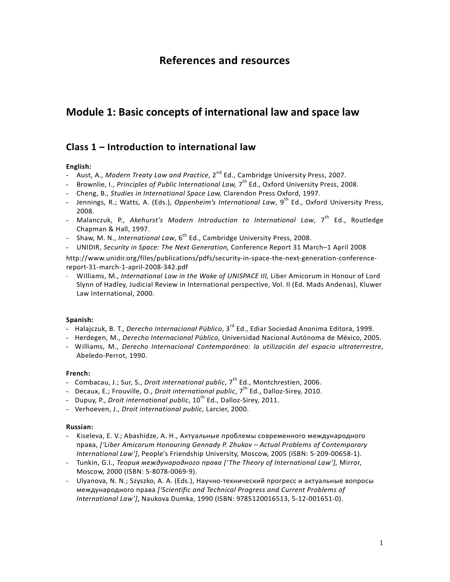# **References and resources**

# **Module 1: Basic concepts of international law and space law**

# **Class 1 – Introduction to international law**

## **English:**

- Aust, A., *Modern Treaty Law and Practice*, 2nd Ed., Cambridge University Press, 2007.
- Brownlie, I., *Principles of Public International Law,* 7th Ed., Oxford University Press, 2008.
- Cheng, B., *Studies in International Space Law,* Clarendon Press Oxford, 1997.
- Jennings, R.; Watts, A. (Eds.), *Oppenheim's International Law*, 9<sup>th</sup> Ed., Oxford University Press, 2008.
- Malanczuk, P., Akehurst's Modern Introduction to International Law, 7<sup>th</sup> Ed., Routledge Chapman & Hall, 1997.
- Shaw, M. N., *International Law*, 6<sup>th</sup> Ed., Cambridge University Press, 2008.
- UNIDIR, *Security in Space: The Next Generation,* Conference Report 31 March–1 April 2008

http://www.unidir.org/files/publications/pdfs/security-in-space-the-next-generation-conferencereport-31-march-1-april-2008-342.pdf

- Williams, M., *International Law in the Wake of UNISPACE III,* Liber Amicorum in Honour of Lord Slynn of Hadley, Judicial Review in International perspective, Vol. II (Ed. Mads Andenas), Kluwer Law International, 2000.

#### **Spanish:**

- Halajczuk, B. T., *Derecho Internacional Público*, 3rd Ed., Ediar Sociedad Anonima Editora, 1999.
- Herdegen, M., *Derecho Internacional Público*, Universidad Nacional Autónoma de México, 2005.
- Williams, M., *Derecho Internacional Contemporáneo: la utilización del espacio ultraterrestre*, Abeledo-Perrot, 1990.

#### **French:**

- Combacau, J.; Sur, S., *Droit international public*, 7<sup>th</sup> Ed., Montchrestien, 2006.
- Decaux, E.; Frouville, O., *Droit international public*, 7<sup>th</sup> Ed., Dalloz-Sirey, 2010.
- Dupuy, P., *Droit international public*, 10<sup>th</sup> Ed., Dalloz-Sirey, 2011.
- Verhoeven, J., *Droit international public*, Larcier, 2000.

#### **Russian:**

- Kiseleva, E. V.; Abashidze, A. H., Актуальные проблемы современного международного права, *['Liber Amicorum Honouring Gennady P. Zhukov – Actual Problems of Contemporary International Law']*, People's Friendship University, Moscow, 2005 (ISBN: 5-209-00658-1).
- Tunkin, G.I., *Теория международного права ['The Theory of International Law'],* Mirror, Moscow, 2000 (ISBN: 5-8078-0069-9).
- Ulyanova, N. N.; Szyszko, A. A. (Eds.), Научно-технический прогресс и актуальные вопросы международного права *['Scientific and Technical Progress and Current Problems of International Law']*, Naukova Dumka, 1990 (ISBN: 9785120016513, 5-12-001651-0).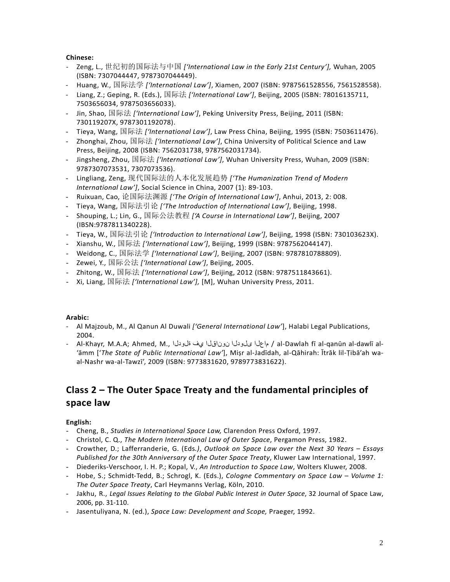#### **Chinese:**

- Zeng, L., 世纪初的国际法与中国 *['International Law in the Early 21st Century'],* Wuhan, 2005 (ISBN: 7307044447, 9787307044449).
- Huang, W., 国际法学 *['International Law']*, Xiamen, 2007 (ISBN: 9787561528556, 7561528558).
- Liang, Z.; Geping, R. (Eds.), 国际法 *['International Law']*, Beijing, 2005 (ISBN: 78016135711, 7503656034, 9787503656033).
- Jin, Shao, 国际法 *['International Law']*, Peking University Press, Beijing, 2011 (ISBN: 730119207X, 9787301192078).
- Tieya, Wang, 国际法 *['International Law']*, Law Press China, Beijing, 1995 (ISBN: 7503611476).
- Zhonghai, Zhou, 国际法 *['International Law']*, China University of Political Science and Law Press, Beijing, 2008 (ISBN: 7562031738, 9787562031734).
- Jingsheng, Zhou, 国际法 *['International Law']*, Wuhan University Press, Wuhan, 2009 (ISBN: 9787307073531, 7307073536).
- Lingliang, Zeng, 现代国际法的人本化发展趋势 *['The Humanization Trend of Modern International Law']*, Social Science in China, 2007 (1): 89-103.
- Ruixuan, Cao, 论国际法渊源 *['The Origin of International Law']*, Anhui, 2013, 2: 008.
- Tieya, Wang, 国际法引论 *['The Introduction of International Law']*, Beijing, 1998.
- Shouping, L.; Lin, G., 国际公法教程 *['A Course in International Law']*, Beijing, 2007 (IBSN:9787811340228).
- Tieya, W., 国际法引论 *['Introduction to International Law']*, Beijing, 1998 (ISBN: 730103623X).
- Xianshu, W., 国际法 *['International Law']*, Beijing, 1999 (ISBN: 9787562044147).
- Weidong, C., 国际法学 *['International Law']*, Beijing, 2007 (ISBN: 9787810788809).
- Zewei, Y., 国际公法 *['International Law']*, Beijing, 2005.
- Zhitong, W., 国际法 *['International Law']*, Beijing, 2012 (ISBN: 9787511843661).
- Xi, Liang, 国际法 *['International Law'],* [M], Wuhan University Press, 2011.

#### **Arabic:**

- Al Majzoub, M., Al Qanun Al Duwali *['General International Law'*], Halabi Legal Publications, 2004.
- Al-Khayr, M.A.A; Ahmed, M., ةلودلا يف نوناقلا ىلودلا ماعلا / al-Dawlah fī al-qanūn al-dawlī al- 'āmm ['*The State of Public International Law'*], Miṣr al-Jadīdah, al-Qāhirah: Ītrāk lil-Ṭibā'ah waal-Nashr wa-al-Tawzī', 2009 (ISBN: 9773831620, 9789773831622).

# **Class 2 – The Outer Space Treaty and the fundamental principles of space law**

# **English:**

- Cheng, B., *Studies in International Space Law,* Clarendon Press Oxford, 1997.
- Christol, C. Q., *The Modern International Law of Outer Space*, Pergamon Press, 1982.
- Crowther, D.; Lafferranderie, G. (Eds*.)*, *Outlook on Space Law over the Next 30 Years – Essays Published for the 30th Anniversary of the Outer Space Treaty*, Kluwer Law International, 1997.
- Diederiks-Verschoor, I. H. P.; Kopal, V., *An Introduction to Space Law*, Wolters Kluwer, 2008.
- Hobe, S.; Schmidt-Tedd, B.; Schrogl, K. (Eds.), *Cologne Commentary on Space Law – Volume 1: The Outer Space Treaty*, Carl Heymanns Verlag, Köln, 2010.
- Jakhu, R., *Legal Issues Relating to the Global Public Interest in Outer Space*, 32 Journal of Space Law, 2006, pp. 31-110.
- Jasentuliyana, N. (ed.), *Space Law: Development and Scope,* Praeger, 1992.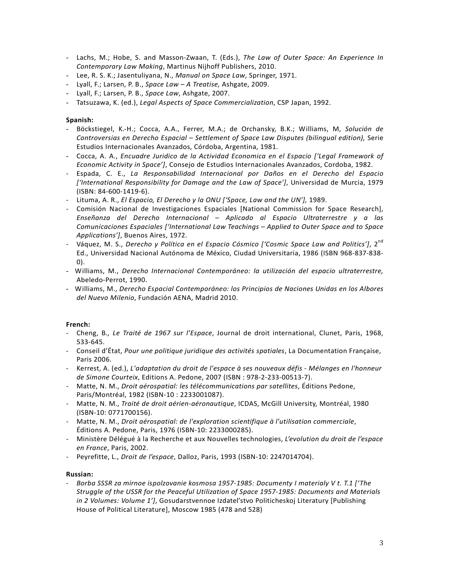- Lachs, M.; Hobe, S. and Masson-Zwaan, T. (Eds.), *The Law of Outer Space: An Experience In Contemporary Law Making*, Martinus Nijhoff Publishers, 2010.
- Lee, R. S. K.; Jasentuliyana, N., *Manual on Space Law*, Springer, 1971.
- Lyall, F.; Larsen, P. B., *Space Law – A Treatise,* Ashgate, 2009.
- Lyall, F.; Larsen, P. B., *Space Law*, Ashgate, 2007.
- Tatsuzawa, K. (ed.), *Legal Aspects of Space Commercialization*, CSP Japan, 1992.

#### **Spanish:**

- Böckstiegel, K.-H.; Cocca, A.A., Ferrer, M.A.; de Orchansky, B.K.; Williams, M, *Solución de Controversias en Derecho Espacial – Settlement of Space Law Disputes (bilingual edition),* Serie Estudios Internacionales Avanzados, Córdoba, Argentina, 1981.
- Cocca, A. A., *Encuadre Juridico de la Actividad Economica en el Espacio ['Legal Framework of Economic Activity in Space']*, Consejo de Estudios Internacionales Avanzados, Cordoba, 1982.
- Espada, C. E., *La Responsabilidad Internacional por Daños en el Derecho del Espacio ['International Responsibility for Damage and the Law of Space']*, Universidad de Murcia, 1979 (ISBN: 84-600-1419-6).
- Lituma, A. R., *El Espacio, El Derecho y la ONU ['Space, Law and the UN'],* 1989.
- Comisión Nacional de Investigaciones Espaciales [National Commission for Space Research], *Enseñanza del Derecho Internacional – Aplicado al Espacio Ultraterrestre y a las Comunicaciones Espaciales ['International Law Teachings – Applied to Outer Space and to Space Applications']*, Buenos Aires, 1972.
- Váquez, M. S., *Derecho y Política en el Espacio Cósmico ['Cosmic Space Law and Politics'*], 2<sup>nd</sup> Ed., Universidad Nacional Autónoma de México, Ciudad Universitaria, 1986 (ISBN 968-837-838- 0).
- Williams, M., *Derecho Internacional Contemporáneo: la utilización del espacio ultraterrestre,* Abeledo-Perrot, 1990.
- Williams, M., *Derecho Espacial Contemporáneo: los Principios de Naciones Unidas en los Albores del Nuevo Milenio*, Fundación AENA, Madrid 2010.

#### **French:**

- Cheng, B*., Le Traité de 1967 sur l'Espace*, Journal de droit international, Clunet, Paris, 1968, 533-645.
- Conseil d'État, *Pour une politique juridique des activités spatiales*, La Documentation Française, Paris 2006.
- Kerrest, A. (ed.), *L'adaptation du droit de l'espace à ses nouveaux défis - Mélanges en l'honneur de Simone Courteix*, Editions A. Pedone, 2007 (ISBN : 978-2-233-00513-7).
- Matte, N. M., *Droit aérospatial: les télécommunications par satellites*, Éditions Pedone, Paris/Montréal, 1982 (ISBN-10 : 2233001087).
- Matte, N. M., *Traité de droit aérien-aéronautique*, ICDAS, McGill University, Montréal, 1980 (ISBN-10: 0771700156).
- Matte, N. M., *Droit aérospatial: de l'exploration scientifique à l'utilisation commerciale*, Éditions A. Pedone, Paris, 1976 (ISBN-10: 2233000285).
- Ministère Délégué à la Recherche et aux Nouvelles technologies, *L'evolution du droit de l'espace en France*, Paris, 2002.
- Peyrefitte, L., *Droit de l'espace*, Dalloz, Paris, 1993 (ISBN-10: 2247014704).

#### **Russian:**

- *Borba SSSR za mirnoe ispolzovanie kosmosa 1957-1985: Documenty I materialy V t. T.1 ['The Struggle of the USSR for the Peaceful Utilization of Space 1957-1985: Documents and Materials in 2 Volumes: Volume 1']*, Gosudarstvennoe Izdatel'stvo Politicheskoj Literatury [Publishing House of Political Literature], Moscow 1985 (478 and 528)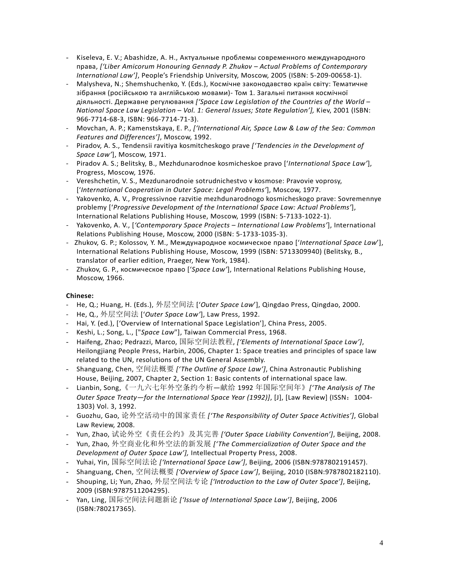- Kiseleva, E. V.; Abashidze, A. H., Актуальные проблемы современного международного права, *['Liber Amicorum Honouring Gennady P. Zhukov – Actual Problems of Contemporary International Law']*, People's Friendship University, Moscow, 2005 (ISBN: 5-209-00658-1).
- Malysheva, N.; Shemshuchenko, Y. (Eds.), Космічне законодавство країн світу: Тематичне зібрання (російською та англійською мовами)- Том 1. Загальні питання космічної діяльності. Державне регулювання *['Space Law Legislation of the Countries of the World – National Space Law Legislation – Vol. 1: General Issues; State Regulation'],* Kiev, 2001 (ISBN: 966-7714-68-3, ISBN: 966-7714-71-3).
- Movchan, A. P.; Kamenstskaya, E. P., *['International Air, Space Law & Law of the Sea: Common Features and Differences']*, Moscow, 1992.
- Piradov, A. S., Tendensii ravitiya kosmitcheskogo prave *['Tendencies in the Development of Space Law'*], Moscow, 1971.
- Piradov A. S.; Belitsky, B., Mezhdunarodnoe kosmicheskoe pravo ['*International Space Law'*], Progress, Moscow, 1976.
- Vereshchetin, V. S., Mezdunarodnoie sotrudnichestvo v kosmose: Pravovie voprosy, ['*International Cooperation in Outer Space: Legal Problems'*], Moscow, 1977.
- Yakovenko, A. V., Progressivnoe razvitie mezhdunarodnogo kosmicheskogo prave: Sovremennye problemy ['*Progressive Development of the International Space Law: Actual Problems'*], International Relations Publishing House, Moscow, 1999 (ISBN: 5-7133-1022-1).
- Yakovenko, A. V., [*'Contemporary Space Projects – International Law Problems'*], International Relations Publishing House, Moscow, 2000 (ISBN: 5-1733-1035-3).
- Zhukov, G. P.; Kolossov, Y. M., Международное космическое право ['*International Space Law*'], International Relations Publishing House, Moscow, 1999 (ISBN: 5713309940) (Belitsky, B., translator of earlier edition, Praeger, New York, 1984).
- Zhukov, G. P., космическое право ['*Space Law'*], International Relations Publishing House, Moscow, 1966.

- He, Q.; Huang, H. (Eds.), 外层空间法 ['*Outer Space Law*'], Qingdao Press, Qingdao, 2000.
- He, Q., 外层空间法 ['*Outer Space Law'*], Law Press, 1992.
- Hai, Y. (ed.), ['Overview of International Space Legislation'], China Press, 2005.
- Keshi, L.; Song, L., ["*Space Law*"], Taiwan Commercial Press, 1968.
- Haifeng, Zhao; Pedrazzi, Marco, 国际空间法教程, *['Elements of International Space Law']*, Heilongjiang People Press, Harbin, 2006, Chapter 1: Space treaties and principles of space law related to the UN, resolutions of the UN General Assembly.
- Shanguang, Chen, 空间法概要 *['The Outline of Space Law']*, China Astronautic Publishing House, Beijing, 2007, Chapter 2, Section 1: Basic contents of international space law.
- Lianbin, Song,《一九六七年外空条约今析—献给 1992 年国际空间年》*['The Analysis of The Outer Space Treaty—for the International Space Year (1992)]*, [J], [Law Review] (ISSN:1004- 1303) Vol. 3, 1992.
- Guozhu, Gao, 论外空活动中的国家责任 *['The Responsibility of Outer Space Activities']*, Global Law Review, 2008.
- Yun, Zhao, 试论外空《责任公约》及其完善 *['Outer Space Liability Convention']*, Beijing, 2008.
- Yun, Zhao, 外空商业化和外空法的新发展 *['The Commercialization of Outer Space and the Development of Outer Space Law'],* Intellectual Property Press, 2008.
- Yuhai, Yin, 国际空间法论 *['International Space Law']*, Beijing, 2006 (ISBN:9787802191457).
- Shanguang, Chen, 空间法概要 *['Overview of Space Law']*, Beijing, 2010 (ISBN:9787802182110).
- Shouping, Li; Yun, Zhao, 外层空间法专论 *['Introduction to the Law of Outer Space']*, Beijing, 2009 (ISBN:9787511204295).
- Yan, Ling, 国际空间法问题新论 *['Issue of International Space Law']*, Beijing, 2006 (ISBN:780217365).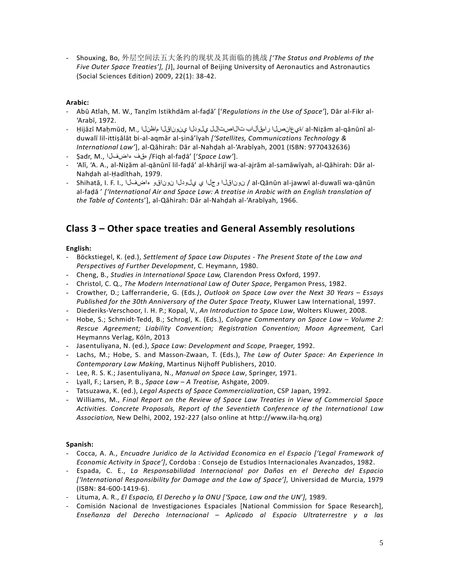- Shouxing, Bo, 外层空间法五大条约的现状及其面临的挑战 *['The Status and Problems of the Five Outer Space Treaties'], [*J], Journal of Beijing University of Aeronautics and Astronautics (Social Sciences Edition) 2009, 22(1): 38-42.

#### **Arabic:**

- Abū Atlah, M. W., Tanẓīm Istikhdām al-faḍā' ['*Regulations in the Use of Space'*], Dār al-Fikr al- 'Arabī, 1972.
- al-Niẓām al-qānūnī al- /قيع انصلا رامقأل اب تال اصت إلى ويلودل اين ونوناقل الماظن لا , Ḥijāzī Maḥmūd, M duwalī lil-ittiṣālāt bi-al-aqmār al-ṣinā'īyah *['Satellites, Communications Technology & International Law'*], al-Qāhirah: Dār al-Nahḍah al-'Arabīyah, 2001 (ISBN: 9770432636)
- Ṣadr, M., ءاضفلا هقف /Fiqh al-faḍā' ['*Space Law'*].
- 'Alī, 'A. A., al-Niẓām al-qānūnī lil-faḍā' al-khārijī wa-al-ajrām al-samāwīyah, al-Qāhirah: Dār al-Nahḍah al-Ḥadīthah, 1979.
- Shihatā, I. F. I., ءاضفلا نوناقو يلودلا ي وجلا نوناقلا / al-Qānūn al-jawwī al-duwalī wa-qānūn al-faḍā ' *['International Air and Space Law: A treatise in Arabic with an English translation of the Table of Contents*'], al-Qāhirah: Dār al-Nahḍah al-'Arabīyah, 1966.

# **Class 3 – Other space treaties and General Assembly resolutions**

## **English:**

- Böckstiegel, K. (ed.), *Settlement of Space Law Disputes - The Present State of the Law and Perspectives of Further Development*, C. Heymann, 1980.
- Cheng, B., *Studies in International Space Law,* Clarendon Press Oxford, 1997.
- Christol, C. Q., *The Modern International Law of Outer Space*, Pergamon Press, 1982.
- Crowther, D.; Lafferranderie, G. (Eds*.)*, *Outlook on Space Law over the Next 30 Years – Essays Published for the 30th Anniversary of the Outer Space Treaty*, Kluwer Law International, 1997.
- Diederiks-Verschoor, I. H. P.; Kopal, V., *An Introduction to Space Law*, Wolters Kluwer, 2008.
- Hobe, S.; Schmidt-Tedd, B.; Schrogl, K. (Eds.), *Cologne Commentary on Space Law – Volume 2: Rescue Agreement; Liability Convention; Registration Convention; Moon Agreement,* Carl Heymanns Verlag, Köln, 2013
- Jasentuliyana, N. (ed.), *Space Law: Development and Scope,* Praeger, 1992.
- Lachs, M.; Hobe, S. and Masson-Zwaan, T. (Eds.), *The Law of Outer Space: An Experience In Contemporary Law Making*, Martinus Nijhoff Publishers, 2010.
- Lee, R. S. K.; Jasentuliyana, N., *Manual on Space Law*, Springer, 1971.
- Lyall, F.; Larsen, P. B., *Space Law – A Treatise,* Ashgate, 2009.
- Tatsuzawa, K. (ed.), *Legal Aspects of Space Commercialization*, CSP Japan, 1992.
- Williams, M., *Final Report on the Review of Space Law Treaties in View of Commercial Space Activities. Concrete Proposals, Report of the Seventieth Conference of the International Law Association,* New Delhi, 2002, 192-227 (also online at http://www.ila-hq.org)

#### **Spanish:**

- Cocca, A. A., *Encuadre Juridico de la Actividad Economica en el Espacio ['Legal Framework of Economic Activity in Space']*, Cordoba : Consejo de Estudios Internacionales Avanzados, 1982.
- Espada, C. E., *La Responsabilidad Internacional por Daños en el Derecho del Espacio ['International Responsibility for Damage and the Law of Space']*, Universidad de Murcia, 1979 (ISBN: 84-600-1419-6).
- Lituma, A. R., *El Espacio, El Derecho y la ONU ['Space, Law and the UN'],* 1989.
- Comisión Nacional de Investigaciones Espaciales [National Commission for Space Research], *Enseñanza del Derecho Internacional – Aplicado al Espacio Ultraterrestre y a las*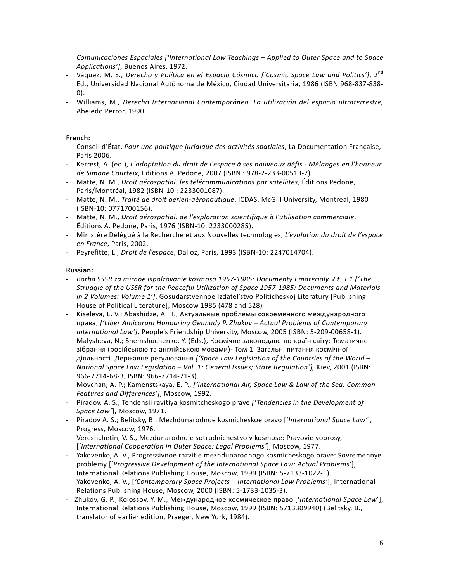*Comunicaciones Espaciales ['International Law Teachings – Applied to Outer Space and to Space Applications']*, Buenos Aires, 1972.

- Váquez, M. S., *Derecho y Política en el Espacio Cósmico ['Cosmic Space Law and Politics']*, 2<sup>nd</sup> Ed., Universidad Nacional Autónoma de México, Ciudad Universitaria, 1986 (ISBN 968-837-838- 0).
- Williams, M*., Derecho Internacional Contemporáneo. La utilización del espacio ultraterrestre,* Abeledo Perror, 1990.

#### **French:**

- Conseil d'État, *Pour une politique juridique des activités spatiales*, La Documentation Française, Paris 2006.
- Kerrest, A. (ed.), *L'adaptation du droit de l'espace à ses nouveaux défis - Mélanges en l'honneur de Simone Courteix*, Editions A. Pedone, 2007 (ISBN : 978-2-233-00513-7).
- Matte, N. M., *Droit aérospatial: les télécommunications par satellites*, Éditions Pedone, Paris/Montréal, 1982 (ISBN-10 : 2233001087).
- Matte, N. M., *Traité de droit aérien-aéronautique*, ICDAS, McGill University, Montréal, 1980 (ISBN-10: 0771700156).
- Matte, N. M., *Droit aérospatial: de l'exploration scientifique à l'utilisation commerciale*, Éditions A. Pedone, Paris, 1976 (ISBN-10: 2233000285).
- Ministère Délégué à la Recherche et aux Nouvelles technologies, *L'evolution du droit de l'espace en France*, Paris, 2002.
- Peyrefitte, L., *Droit de l'espace*, Dalloz, Paris, 1993 (ISBN-10: 2247014704).

#### **Russian:**

- *- Borba SSSR za mirnoe ispolzovanie kosmosa 1957-1985: Documenty I materialy V t. T.1 ['The Struggle of the USSR for the Peaceful Utilization of Space 1957-1985: Documents and Materials in 2 Volumes: Volume 1']*, Gosudarstvennoe Izdatel'stvo Politicheskoj Literatury [Publishing House of Political Literature], Moscow 1985 (478 and 528)
- Kiseleva, E. V.; Abashidze, A. H., Актуальные проблемы современного международного права, *['Liber Amicorum Honouring Gennady P. Zhukov – Actual Problems of Contemporary International Law']*, People's Friendship University, Moscow, 2005 (ISBN: 5-209-00658-1).
- Malysheva, N.; Shemshuchenko, Y. (Eds.), Космічне законодавство країн світу: Тематичне зібрання (російською та англійською мовами)- Том 1. Загальні питання космічної діяльності. Державне регулювання *['Space Law Legislation of the Countries of the World – National Space Law Legislation – Vol. 1: General Issues; State Regulation'],* Kiev, 2001 (ISBN: 966-7714-68-3, ISBN: 966-7714-71-3).
- Movchan, A. P.; Kamenstskaya, E. P., *['International Air, Space Law & Law of the Sea: Common Features and Differences']*, Moscow, 1992.
- Piradov, A. S., Tendensii ravitiya kosmitcheskogo prave *['Tendencies in the Development of Space Law'*], Moscow, 1971.
- Piradov A. S.; Belitsky, B., Mezhdunarodnoe kosmicheskoe pravo ['*International Space Law'*], Progress, Moscow, 1976.
- Vereshchetin, V. S., Mezdunarodnoie sotrudnichestvo v kosmose: Pravovie voprosy, ['*International Cooperation in Outer Space: Legal Problems'*], Moscow, 1977.
- Yakovenko, A. V., Progressivnoe razvitie mezhdunarodnogo kosmicheskogo prave: Sovremennye problemy ['*Progressive Development of the International Space Law: Actual Problems'*], International Relations Publishing House, Moscow, 1999 (ISBN: 5-7133-1022-1).
- Yakovenko, A. V., [*'Contemporary Space Projects – International Law Problems'*], International Relations Publishing House, Moscow, 2000 (ISBN: 5-1733-1035-3).
- Zhukov, G. P.; Kolossov, Y. M., Международное космическое право ['*International Space Law*'], International Relations Publishing House, Moscow, 1999 (ISBN: 5713309940) (Belitsky, B., translator of earlier edition, Praeger, New York, 1984).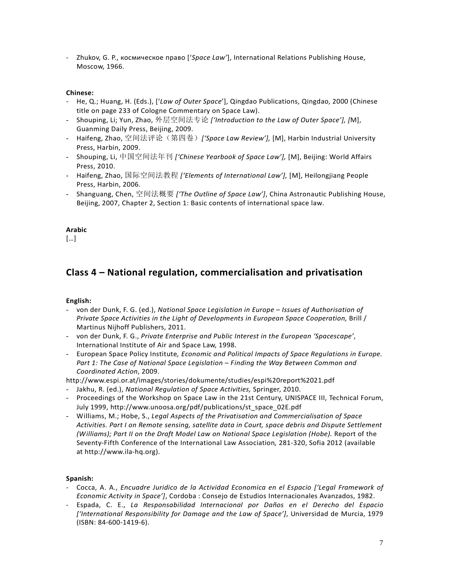- Zhukov, G. P., космическое право ['*Space Law'*], International Relations Publishing House, Moscow, 1966.

#### **Chinese:**

- He, Q.; Huang, H. (Eds.), ['*Law of Outer Space*'], Qingdao Publications, Qingdao, 2000 (Chinese title on page 233 of Cologne Commentary on Space Law).
- Shouping, Li; Yun, Zhao, 外层空间法专论 *['Introduction to the Law of Outer Space'], [*M], Guanming Daily Press, Beijing, 2009.
- Haifeng, Zhao, 空间法评论(第四卷)*['Space Law Review'],* [M], Harbin Industrial University Press, Harbin, 2009.
- Shouping, Li, 中国空间法年刊 *['Chinese Yearbook of Space Law'],* [M], Beijing: World Affairs Press, 2010.
- Haifeng, Zhao, 国际空间法教程 *['Elements of International Law'],* [M], Heilongjiang People Press, Harbin, 2006.
- Shanguang, Chen, 空间法概要 *['The Outline of Space Law']*, China Astronautic Publishing House, Beijing, 2007, Chapter 2, Section 1: Basic contents of international space law.

## **Arabic**

[…]

# **Class 4 – National regulation, commercialisation and privatisation**

# **English:**

- von der Dunk, F. G. (ed.), *National Space Legislation in Europe – Issues of Authorisation of Private Space Activities in the Light of Developments in European Space Cooperation, Brill /* Martinus Nijhoff Publishers, 2011.
- von der Dunk, F. G., *Private Enterprise and Public Interest in the European 'Spacescape'*, International Institute of Air and Space Law, 1998.
- *-* European Space Policy Institute*, Economic and Political Impacts of Space Regulations in Europe. Part 1: The Case of National Space Legislation – Finding the Way Between Common and Coordinated Action*, 2009.

http://www.espi.or.at/images/stories/dokumente/studies/espi%20report%2021.pdf

- Jakhu, R. (ed.), *National Regulation of Space Activities,* Springer, 2010.
- Proceedings of the Workshop on Space Law in the 21st Century, UNISPACE III, Technical Forum, July 1999, http://www.unoosa.org/pdf/publications/st\_space\_02E.pdf
- Williams, M.; Hobe, S., *Legal Aspects of the Privatisation and Commercialisation of Space Activities. Part I on Remote sensing, satellite data in Court, space debris and Dispute Settlement (Williams); Part II on the Draft Model Law on National Space Legislation (Hobe).* Report of the Seventy-Fifth Conference of the International Law Association*,* 281-320, Sofia 2012 (available at http://www.ila-hq.org).

# **Spanish:**

- Cocca, A. A., *Encuadre Juridico de la Actividad Economica en el Espacio ['Legal Framework of Economic Activity in Space']*, Cordoba : Consejo de Estudios Internacionales Avanzados, 1982.
- Espada, C. E., *La Responsabilidad Internacional por Daños en el Derecho del Espacio ['International Responsibility for Damage and the Law of Space']*, Universidad de Murcia, 1979 (ISBN: 84-600-1419-6).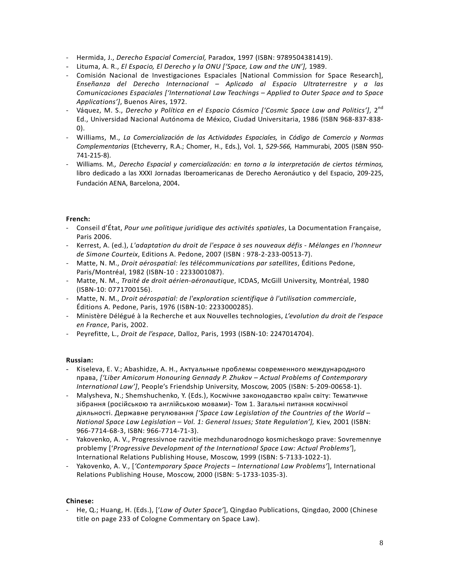- Hermida, J., *Derecho Espacial Comercial,* Paradox, 1997 (ISBN: 9789504381419).
- Lituma, A. R., *El Espacio, El Derecho y la ONU ['Space, Law and the UN'],* 1989.
- Comisión Nacional de Investigaciones Espaciales [National Commission for Space Research], *Enseñanza del Derecho Internacional – Aplicado al Espacio Ultraterrestre y a las Comunicaciones Espaciales ['International Law Teachings – Applied to Outer Space and to Space Applications']*, Buenos Aires, 1972.
- Váquez, M. S., *Derecho y Política en el Espacio Cósmico ['Cosmic Space Law and Politics'*], 2<sup>nd</sup> Ed., Universidad Nacional Autónoma de México, Ciudad Universitaria, 1986 (ISBN 968-837-838- 0).
- Williams, M., *La Comercialización de las Actividades Espaciales,* in *Código de Comercio y Normas Complementarias* (Etcheverry, R.A.; Chomer, H., Eds.), Vol. 1, *529-566,* Hammurabi, 2005 (ISBN 950- 741-215-8).
- Williams. M*., Derecho Espacial y comercialización: en torno a la interpretación de ciertos términos,* libro dedicado a las XXXI Jornadas Iberoamericanas de Derecho Aeronáutico y del Espacio, 209-225, Fundación AENA, Barcelona, 2004.

#### **French:**

- Conseil d'État, *Pour une politique juridique des activités spatiales*, La Documentation Française, Paris 2006.
- Kerrest, A. (ed.), *L'adaptation du droit de l'espace à ses nouveaux défis - Mélanges en l'honneur de Simone Courteix*, Editions A. Pedone, 2007 (ISBN : 978-2-233-00513-7).
- Matte, N. M., *Droit aérospatial: les télécommunications par satellites*, Éditions Pedone, Paris/Montréal, 1982 (ISBN-10 : 2233001087).
- Matte, N. M., *Traité de droit aérien-aéronautique*, ICDAS, McGill University, Montréal, 1980 (ISBN-10: 0771700156).
- Matte, N. M., *Droit aérospatial: de l'exploration scientifique à l'utilisation commerciale*, Éditions A. Pedone, Paris, 1976 (ISBN-10: 2233000285).
- Ministère Délégué à la Recherche et aux Nouvelles technologies, *L'evolution du droit de l'espace en France*, Paris, 2002.
- Peyrefitte, L., *Droit de l'espace*, Dalloz, Paris, 1993 (ISBN-10: 2247014704).

#### **Russian:**

- Kiseleva, E. V.; Abashidze, A. H., Актуальные проблемы современного международного права, *['Liber Amicorum Honouring Gennady P. Zhukov – Actual Problems of Contemporary International Law']*, People's Friendship University, Moscow, 2005 (ISBN: 5-209-00658-1).
- Malysheva, N.; Shemshuchenko, Y. (Eds.), Космічне законодавство країн світу: Тематичне зібрання (російською та англійською мовами)- Том 1. Загальні питання космічної діяльності. Державне регулювання *['Space Law Legislation of the Countries of the World – National Space Law Legislation – Vol. 1: General Issues; State Regulation'],* Kiev, 2001 (ISBN: 966-7714-68-3, ISBN: 966-7714-71-3).
- Yakovenko, A. V., Progressivnoe razvitie mezhdunarodnogo kosmicheskogo prave: Sovremennye problemy ['*Progressive Development of the International Space Law: Actual Problems'*], International Relations Publishing House, Moscow, 1999 (ISBN: 5-7133-1022-1).
- Yakovenko, A. V., [*'Contemporary Space Projects – International Law Problems'*], International Relations Publishing House, Moscow, 2000 (ISBN: 5-1733-1035-3).

#### **Chinese:**

- He, Q.; Huang, H. (Eds.), ['*Law of Outer Space'*], Qingdao Publications, Qingdao, 2000 (Chinese title on page 233 of Cologne Commentary on Space Law).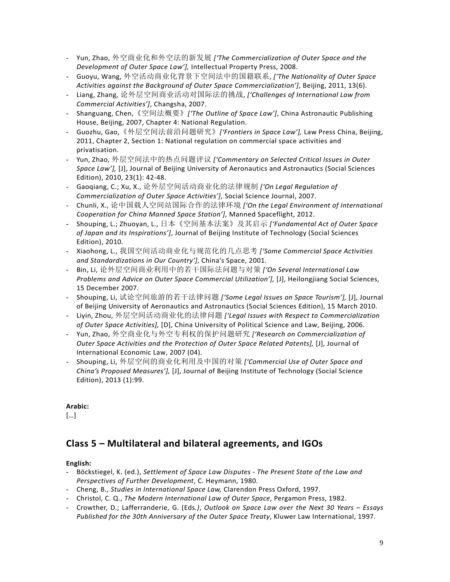- Yun, Zhao, 外空商业化和外空法的新发展 *['The Commercialization of Outer Space and the Development of Outer Space Law'],* Intellectual Property Press, 2008.
- Guoyu, Wang, 外空活动商业化背景下空间法中的国籍联系, *['The Nationality of Outer Space Activities against the Background of Outer Space Commercialization']*, Beijing, 2011, 13(6).
- Liang, Zhang, 论外层空间商业活动对国际法的挑战, *['Challenges of International Law from Commercial Activities']*, Changsha, 2007.
- Shanguang, Chen,《空间法概要》*['The Outline of Space Law']*, China Astronautic Publishing House, Beijing, 2007, Chapter 4: National Regulation.
- Guozhu, Gao,《外层空间法前沿问题研究》*['Frontiers in Space Law'],* Law Press China, Beijing, 2011, Chapter 2, Section 1: National regulation on commercial space activities and privatisation.
- Yun, Zhao, 外层空间法中的热点问题评议 *['Commentary on Selected Critical Issues in Outer Space Law'],* [J], Journal of Beijing University of Aeronautics and Astronautics (Social Sciences Edition), 2010, 23(1): 42-48.
- Gaoqiang, C.; Xu, X., 论外层空间活动商业化的法律规制 *['On Legal Regulation of Commercialization of Outer Space Activities']*, Social Science Journal, 2007.
- Chunli, X., 论中国载人空间站国际合作的法律环境 *['On the Legal Environment of International Cooperation for China Manned Space Station']*, Manned Spaceflight, 2012.
- Shouping, L.; Zhuoyan, L., 日本《空间基本法案》及其启示 *['Fundamental Act of Outer Space of Japan and its Inspirations']*, Journal of Beijing Institute of Technology (Social Sciences Edition), 2010.
- Xiaohong, L., 我国空间活动商业化与规范化的几点思考 *['Some Commercial Space Activities and Standardizations in Our Country']*, China's Space, 2001.
- Bin, Li, 论外层空间商业利用中的若干国际法问题与对策 *['On Several International Law Problems and Advice on Outer Space Commercial Utilization'],* [J], Heilongjiang Social Sciences, 15 December 2007.
- Shouping, Li, 试论空间旅游的若干法律问题 *['Some Legal Issues on Space Tourism'],* [J], Journal of Beijing University of Aeronautics and Astronautics (Social Sciences Edition), 15 March 2010.
- Liyin, Zhou, 外层空间活动商业化的法律问题 *['Legal Issues with Respect to Commercialization of Outer Space Activities],* [D], China University of Political Science and Law, Beijing, 2006.
- Yun, Zhao, 外空商业化与外空专利权的保护问题研究 *['Research on Commercialization of Outer Space Activities and the Protection of Outer Space Related Patents],* [J], Journal of International Economic Law, 2007 (04).
- Shouping, Li, 外层空间的商业化利用及中国的对策 *['Commercial Use of Outer Space and China's Proposed Measures'],* [J], Journal of Beijing Institute of Technology (Social Science Edition), 2013 (1):99.

[…]

# **Class 5 – Multilateral and bilateral agreements, and IGOs**

# **English:**

- Böckstiegel, K. (ed.), *Settlement of Space Law Disputes - The Present State of the Law and Perspectives of Further Development*, C. Heymann, 1980.
- Cheng, B., *Studies in International Space Law,* Clarendon Press Oxford, 1997.
- Christol, C. Q., *The Modern International Law of Outer Space*, Pergamon Press, 1982.
- Crowther, D.; Lafferranderie, G. (Eds*.)*, *Outlook on Space Law over the Next 30 Years – Essays Published for the 30th Anniversary of the Outer Space Treaty*, Kluwer Law International, 1997.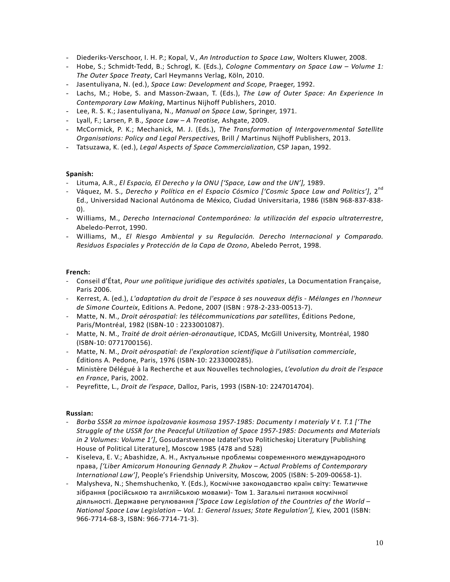- Diederiks-Verschoor, I. H. P.; Kopal, V., *An Introduction to Space Law*, Wolters Kluwer, 2008.
- Hobe, S.; Schmidt-Tedd, B.; Schrogl, K. (Eds.), *Cologne Commentary on Space Law – Volume 1: The Outer Space Treaty*, Carl Heymanns Verlag, Köln, 2010.
- Jasentuliyana, N. (ed.), *Space Law: Development and Scope,* Praeger, 1992.
- Lachs, M.; Hobe, S. and Masson-Zwaan, T. (Eds.), *The Law of Outer Space: An Experience In Contemporary Law Making*, Martinus Nijhoff Publishers, 2010.
- Lee, R. S. K.; Jasentuliyana, N., *Manual on Space Law*, Springer, 1971.
- Lyall, F.; Larsen, P. B., *Space Law – A Treatise,* Ashgate, 2009.
- McCormick, P. K.; Mechanick, M. J. (Eds.), *The Transformation of Intergovernmental Satellite Organisations: Policy and Legal Perspectives,* Brill / Martinus Nijhoff Publishers, 2013.
- Tatsuzawa, K. (ed.), *Legal Aspects of Space Commercialization*, CSP Japan, 1992.

#### **Spanish:**

- Lituma, A.R., *El Espacio, El Derecho y la ONU ['Space, Law and the UN'],* 1989.
- Váquez, M. S., *Derecho y Política en el Espacio Cósmico ['Cosmic Space Law and Politics']*, 2<sup>nd</sup> Ed., Universidad Nacional Autónoma de México, Ciudad Universitaria, 1986 (ISBN 968-837-838- 0).
- Williams, M., *Derecho Internacional Contemporáneo: la utilización del espacio ultraterrestre*, Abeledo-Perrot, 1990.
- Williams, M., *El Riesgo Ambiental y su Regulación. Derecho Internacional y Comparado. Residuos Espaciales y Protección de la Capa de Ozono*, Abeledo Perrot, 1998.

#### **French:**

- Conseil d'État, *Pour une politique juridique des activités spatiales*, La Documentation Française, Paris 2006.
- Kerrest, A. (ed.), *L'adaptation du droit de l'espace à ses nouveaux défis - Mélanges en l'honneur de Simone Courteix*, Editions A. Pedone, 2007 (ISBN : 978-2-233-00513-7).
- Matte, N. M., *Droit aérospatial: les télécommunications par satellites*, Éditions Pedone, Paris/Montréal, 1982 (ISBN-10 : 2233001087).
- Matte, N. M., *Traité de droit aérien-aéronautique*, ICDAS, McGill University, Montréal, 1980 (ISBN-10: 0771700156).
- Matte, N. M., *Droit aérospatial: de l'exploration scientifique à l'utilisation commerciale*, Éditions A. Pedone, Paris, 1976 (ISBN-10: 2233000285).
- Ministère Délégué à la Recherche et aux Nouvelles technologies, *L'evolution du droit de l'espace en France*, Paris, 2002.
- Peyrefitte, L., *Droit de l'espace*, Dalloz, Paris, 1993 (ISBN-10: 2247014704).

#### **Russian:**

- *Borba SSSR za mirnoe ispolzovanie kosmosa 1957-1985: Documenty I materialy V t. T.1 ['The Struggle of the USSR for the Peaceful Utilization of Space 1957-1985: Documents and Materials in 2 Volumes: Volume 1']*, Gosudarstvennoe Izdatel'stvo Politicheskoj Literatury [Publishing House of Political Literature], Moscow 1985 (478 and 528)
- Kiseleva, E. V.; Abashidze, A. H., Актуальные проблемы современного международного права, *['Liber Amicorum Honouring Gennady P. Zhukov – Actual Problems of Contemporary International Law']*, People's Friendship University, Moscow, 2005 (ISBN: 5-209-00658-1).
- Malysheva, N.; Shemshuchenko, Y. (Eds.), Космічне законодавство країн світу: Тематичне зібрання (російською та англійською мовами)- Том 1. Загальні питання космічної діяльності. Державне регулювання *['Space Law Legislation of the Countries of the World – National Space Law Legislation – Vol. 1: General Issues; State Regulation'],* Kiev, 2001 (ISBN: 966-7714-68-3, ISBN: 966-7714-71-3).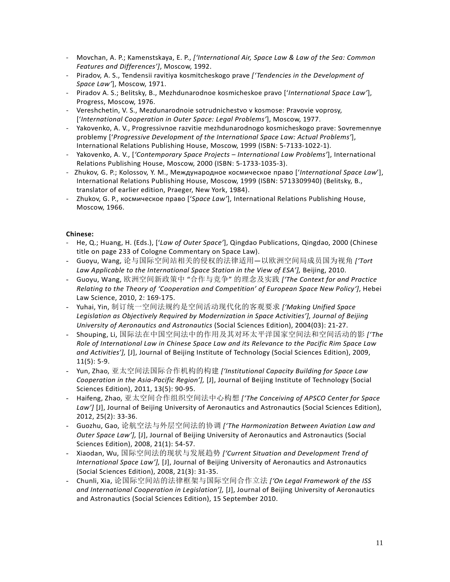- Movchan, A. P.; Kamenstskaya, E. P., *['International Air, Space Law & Law of the Sea: Common Features and Differences']*, Moscow, 1992.
- Piradov, A. S., Tendensii ravitiya kosmitcheskogo prave *['Tendencies in the Development of Space Law'*], Moscow, 1971.
- Piradov A. S.; Belitsky, B., Mezhdunarodnoe kosmicheskoe pravo ['*International Space Law'*], Progress, Moscow, 1976.
- Vereshchetin, V. S., Mezdunarodnoie sotrudnichestvo v kosmose: Pravovie voprosy, ['*International Cooperation in Outer Space: Legal Problems'*], Moscow, 1977.
- Yakovenko, A. V., Progressivnoe razvitie mezhdunarodnogo kosmicheskogo prave: Sovremennye problemy ['*Progressive Development of the International Space Law: Actual Problems'*], International Relations Publishing House, Moscow, 1999 (ISBN: 5-7133-1022-1).
- Yakovenko, A. V., [*'Contemporary Space Projects – International Law Problems'*], International Relations Publishing House, Moscow, 2000 (ISBN: 5-1733-1035-3).
- Zhukov, G. P.; Kolossov, Y. M., Международное космическое право ['*International Space Law*'], International Relations Publishing House, Moscow, 1999 (ISBN: 5713309940) (Belitsky, B., translator of earlier edition, Praeger, New York, 1984).
- Zhukov, G. P., космическое право ['*Space Law'*], International Relations Publishing House, Moscow, 1966.

- He, Q.; Huang, H. (Eds.), ['*Law of Outer Space'*], Qingdao Publications, Qingdao, 2000 (Chinese title on page 233 of Cologne Commentary on Space Law).
- Guoyu, Wang, 论与国际空间站相关的侵权的法律适用—以欧洲空间局成员国为视角 *['Tort Law Applicable to the International Space Station in the View of ESA'],* Beijing, 2010.
- Guoyu, Wang, 欧洲空间新政策中 "合作与竞争" 的理念及实践 *['The Context for and Practice Relating to the Theory of 'Cooperation and Competition' of European Space New Policy']*, Hebei Law Science, 2010, 2: 169-175.
- Yuhai, Yin, 制订统一空间法规约是空间活动现代化的客观要求 *['Making Unified Space Legislation as Objectively Required by Modernization in Space Activities'], Journal of Beijing University of Aeronautics and Astronautics* (Social Sciences Edition), 2004(03): 21-27.
- Shouping, Li, 国际法在中国空间法中的作用及其对环太平洋国家空间法和空间活动的影 *['The Role of International Law in Chinese Space Law and its Relevance to the Pacific Rim Space Law and Activities'],* [J], Journal of Beijing Institute of Technology (Social Sciences Edition), 2009, 11(5): 5-9.
- Yun, Zhao, [亚太空间法国际合作机构的构建](http://epub.cnki.net/grid2008/brief/detailj.aspx?&dbCode=&index=&QueryID=4&CurRec=2) *['Institutional Capacity Building for Space Law Cooperation in the Asia-Pacific Region'],* [J], Journal of Beijing Institute of Technology (Social Sciences Edition), 2011, 13(5): 90-95.
- Haifeng, Zhao, 亚太空间合作组织空间法中心构想 *['The Conceiving of APSCO Center for Space*  Law'] [J], Journal of Beijing University of Aeronautics and Astronautics (Social Sciences Edition), 2012, 25(2): 33-36.
- Guozhu, Gao, 论航空法与外层空间法的协调 *['The Harmonization Between Aviation Law and Outer Space Law'],* [J], Journal of Beijing University of Aeronautics and Astronautics (Social Sciences Edition), 2008, 21(1): 54-57.
- Xiaodan, Wu, 国际空间法的现状与发展趋势 *['Current Situation and Development Trend of International Space Law'],* [J], Journal of Beijing University of Aeronautics and Astronautics (Social Sciences Edition), 2008, 21(3): 31-35.
- Chunli, Xia, 论国际空间站的法律框架与国际空间合作立法 *['On Legal Framework of the ISS and International Cooperation in Legislation'],* [J], Journal of Beijing University of Aeronautics and Astronautics (Social Sciences Edition), 15 September 2010.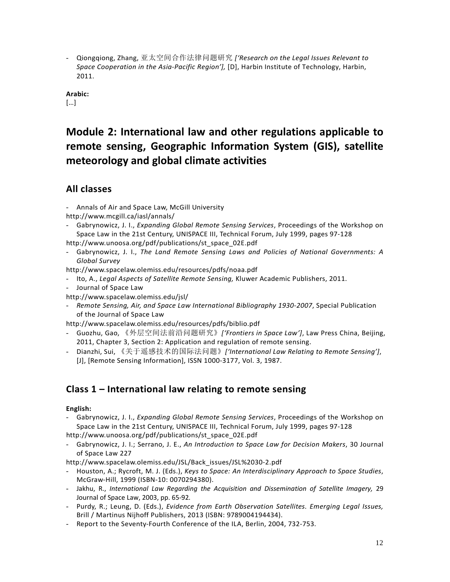- Qiongqiong, Zhang, 亚太空间合作法律问题研究 *['Research on the Legal Issues Relevant to Space Cooperation in the Asia-Pacific Region'],* [D], Harbin Institute of Technology, Harbin, 2011.

**Arabic:**

[…]

# **Module 2: International law and other regulations applicable to remote sensing, Geographic Information System (GIS), satellite meteorology and global climate activities**

# **All classes**

- Annals of Air and Space Law, McGill University

<http://www.mcgill.ca/iasl/annals/>

- Gabrynowicz, J. I., *Expanding Global Remote Sensing Services*, Proceedings of the Workshop on Space Law in the 21st Century, UNISPACE III, Technical Forum, July 1999, pages 97-128
- http://www.unoosa.org/pdf/publications/st\_space\_02E.pdf
- Gabrynowicz, J. I., *The Land Remote Sensing Laws and Policies of National Governments: A Global Survey*

http://www.spacelaw.olemiss.edu/resources/pdfs/noaa.pdf

- Ito, A., *Legal Aspects of Satellite Remote Sensing,* Kluwer Academic Publishers, 2011.
- Journal of Space Law

http://www.spacelaw.olemiss.edu/jsl/

- *Remote Sensing, Air, and Space Law International Bibliography 1930-2007*, Special Publication of the Journal of Space Law

http://www.spacelaw.olemiss.edu/resources/pdfs/biblio.pdf

- Guozhu, Gao, 《外层空间法前沿问题研究》*['Frontiers in Space Law']*, Law Press China, Beijing, 2011, Chapter 3, Section 2: Application and regulation of remote sensing.
- Dianzhi, Sui, 《关于遥感技术的国际法问题》*['International Law Relating to Remote Sensing']*, [J], [Remote Sensing Information], ISSN 1000-3177, Vol. 3, 1987.

# **Class 1 – International law relating to remote sensing**

**English:**

- Gabrynowicz, J. I., *Expanding Global Remote Sensing Services*, Proceedings of the Workshop on Space Law in the 21st Century, UNISPACE III, Technical Forum, July 1999, pages 97-128 http://www.unoosa.org/pdf/publications/st\_space\_02E.pdf
- Gabrynowicz, J. I.; Serrano, J. E., *An Introduction to Space Law for Decision Makers*, 30 Journal of Space Law 227
- http://www.spacelaw.olemiss.edu/JSL/Back\_issues/JSL%2030-2.pdf
- Houston, A.; Rycroft, M. J. (Eds.), *Keys to Space: An Interdisciplinary Approach to Space Studies*, McGraw-Hill, 1999 (ISBN-10: 0070294380).
- Jakhu, R., *International Law Regarding the Acquisition and Dissemination of Satellite Imagery,* 29 Journal of Space Law, 2003, pp. 65-92*.*
- Purdy, R.; Leung, D. (Eds.), *Evidence from Earth Observation Satellites. Emerging Legal Issues,*  Brill / Martinus Nijhoff Publishers, 2013 (ISBN: 9789004194434).
- Report to the Seventy-Fourth Conference of the ILA, Berlin, 2004, 732-753.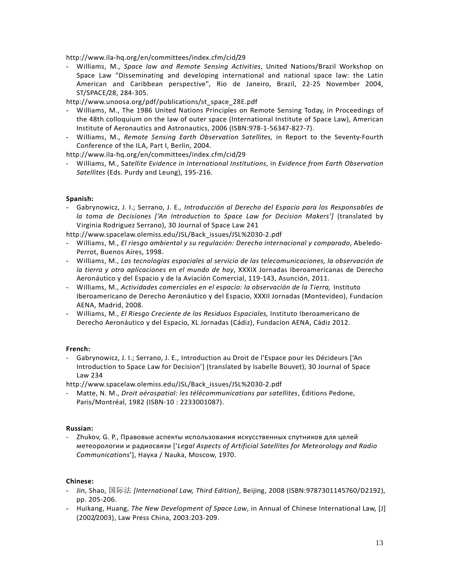http://www.ila-hq.org/en/committees/index.cfm/cid/29

- Williams, M., *Space law and Remote Sensing Activities*, United Nations/Brazil Workshop on Space Law "Disseminating and developing international and national space law: the Latin American and Caribbean perspective", Rio de Janeiro, Brazil, 22-25 November 2004, ST/SPACE/28, 284-305.

http://www.unoosa.org/pdf/publications/st\_space\_28E.pdf

- Williams, M., The 1986 United Nations Principles on Remote Sensing Today, in Proceedings of the 48th colloquium on the law of outer space (International Institute of Space Law), American Institute of Aeronautics and Astronautics, 2006 (ISBN:978-1-56347-827-7).
- Williams, M., *Remote Sensing Earth Observation Satellites,* in Report to the Seventy-Fourth Conference of the ILA, Part I, Berlin, 2004.

http://www.ila-hq.org/en/committees/index.cfm/cid/29

- Williams, M., Sa*tellite Evidence in International Institutions*, in *Evidence from Earth Observation Satellites* (Eds. Purdy and Leung), 195-216.

#### **Spanish:**

- Gabrynowicz, J. I.; Serrano, J. E*., Introducción al Derecho del Espacio para los Responsables de la toma de Decisiones ['An Introduction to Space Law for Decision Makers']* (translated by Virginia Rodriguez Serrano), 30 Journal of Space Law 241

http://www.spacelaw.olemiss.edu/JSL/Back\_issues/JSL%2030-2.pdf

- Williams, M., *El riesgo ambiental y su regulación: Derecho internacional y comparado*, Abeledo-Perrot, Buenos Aires, 1998.
- Williams, M., *Las tecnologías espaciales al servicio de las telecomunicaciones, la observación de la tierra y otra aplicaciones en el mundo de hoy*, XXXIX Jornadas Iberoamericanas de Derecho Aeronáutico y del Espacio y de la Aviación Comercial, 119-143, Asunción, 2011.
- Williams, M., *Actividades comerciales en el espacio: la observación de la Tierra,* Instituto Iberoamericano de Derecho Aeronáutico y del Espacio, XXXII Jornadas (Montevideo), Fundacíon AENA, Madrid, 2008.
- Williams, M., *El Riesgo Creciente de los Residuos Espaciales,* Instituto Iberoamericano de Derecho Aeronáutico y del Espacio, XL Jornadas (Cádiz), Fundacíon AENA, Cádiz 2012.

#### **French:**

- Gabrynowicz, J. I.; Serrano, J. E*.,* Introduction au Droit de l'Espace pour les Décideurs ['An Introduction to Space Law for Decision'] (translated by Isabelle Bouvet), 30 Journal of Space Law 234

http://www.spacelaw.olemiss.edu/JSL/Back\_issues/JSL%2030-2.pdf

- Matte, N. M., *Droit aérospatial: les télécommunications par satellites*, Éditions Pedone, Paris/Montréal, 1982 (ISBN-10 : 2233001087).

#### **Russian:**

- Zhukov, G. P., Правовые аспекты использования искусственных спутников для целей метеорологии и радиосвязи ['*Legal Aspects of Artificial Satellites for Meteorology and Radio Communications*'], Наука / Nauka, Moscow, 1970.

- Jin, Shao, 国际法 *[International Law, Third Edition]*, Beijing, 2008 (ISBN:9787301145760/D2192), pp. 205-206.
- Huikang, Huang, *The New Development of Space Law*, in Annual of Chinese International Law, [J] (2002/2003), Law Press China, 2003:203-209.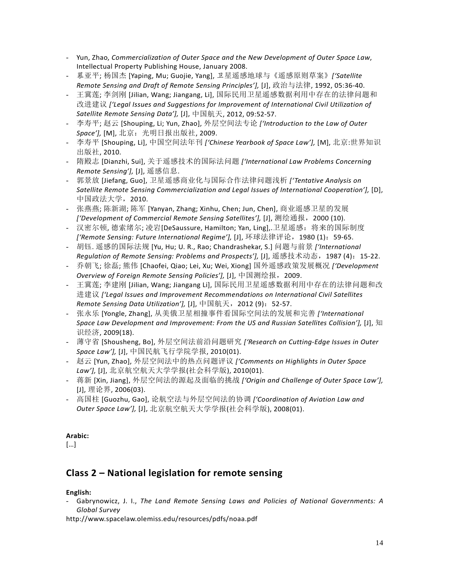- Yun, Zhao, *Commercialization of Outer Space and the New Development of Outer Space Law*, Intellectual Property Publishing House, January 2008.
- 慕亚平; 杨国杰 [Yaping, Mu; Guojie, Yang], 卫星遥感地球与《遥感原则草案》*['Satellite Remote Sensing and Draft of Remote Sensing Principles'],* [J], 政治与法律, 1992, 05:36-40.
- 王冀莲; 李剑刚 [Jilian, Wang; Jiangang, Li], 国际民用卫星遥感数据利用中存在的法律问题和 改进建议 *['Legal Issues and Suggestions for Improvement of International Civil Utilization of Satellite Remote Sensing Data'],* [J], 中国航天, 2012, 09:52-57.
- 李寿平; 赵云 [Shouping, Li; Yun, Zhao], 外层空间法专论 *['Introduction to the Law of Outer Space'],* [M], 北京:光明日报出版社, 2009.
- 李寿平 [Shouping, Li], 中国空间法年刊 *['Chinese Yearbook of Space Law'],* [M], 北京:世界知识 出版社, 2010.
- 隋殿志 [Dianzhi, Sui], 关于遥感技术的国际法问题 *['International Law Problems Concerning Remote Sensing'],* [J], 遥感信息.
- 郭景放 [Jiefang, Guo], 卫星遥感商业化与国际合作法律问题浅析 *['Tentative Analysis on Satellite Remote Sensing Commercialization and Legal Issues of International Cooperation'],* [D], 中国政法大学,2010.
- 张燕燕; 陈新湖; 陈军 [Yanyan, Zhang; Xinhu, Chen; Jun, Chen], 商业遥感卫星的发展 *['Development of Commercial Remote Sensing Satellites'],* [J], 测绘通报,2000 (10).
- 汉密尔顿, 德索绪尔; 凌岩[DeSaussure, Hamilton; Yan, Ling],.卫星遥感:将来的国际制度 *['Remote Sensing: Future International Regime'],* [J], 环球法律评论,1980 (1):59-65.
- 胡钰. 遥感的国际法规 [Yu, Hu; U. R., Rao; Chandrashekar, S.] 问题与前景 *['International Regulation of Remote Sensing: Problems and Prospects'],* [J], 遥感技术动态,1987 (4):15-22.
- 乔朝飞; 徐磊; 熊伟 [Chaofei, Qiao; Lei, Xu; Wei, Xiong] 国外遥感政策发展概况 *['Development Overview of Foreign Remote Sensing Policies'],* [J], 中国测绘报,2009.
- 王冀莲; 李建刚 [Jilian, Wang; Jiangang Li], 国际民用卫星遥感数据利用中存在的法律问题和改 进建议 *['Legal Issues and Improvement Recommendations on International Civil Satellites Remote Sensing Data Utilization'],* [J], 中国航天,2012 (9):52-57.
- 张永乐 [Yongle, Zhang], 从美俄卫星相撞事件看国际空间法的发展和完善 *['International Space Law Development and Improvement: From the US and Russian Satellites Collision'],* [J], 知 识经济, 2009(18).
- 薄守省 [Shousheng, Bo], 外层空间法前沿问题研究 *['Research on Cutting-Edge Issues in Outer Space Law'],* [J], 中国民航飞行学院学报, 2010(01).
- 赵云 [Yun, Zhao], 外层空间法中的热点问题评议 *['Comments on Highlights in Outer Space Law'],* [J], 北京航空航天大学学报(社会科学版), 2010(01).
- 蒋新 [Xin, Jiang], 外层空间法的源起及面临的挑战 *['Origin and Challenge of Outer Space Law'],*  [J], 理论界, 2006(03).
- 高国柱 [Guozhu, Gao], 论航空法与外层空间法的协调 *['Coordination of Aviation Law and Outer Space Law'],* [J], 北京航空航天大学学报(社会科学版), 2008(01).

[…]

# **Class 2 – National legislation for remote sensing**

# **English:**

- Gabrynowicz, J. I., *The Land Remote Sensing Laws and Policies of National Governments: A Global Survey*

http://www.spacelaw.olemiss.edu/resources/pdfs/noaa.pdf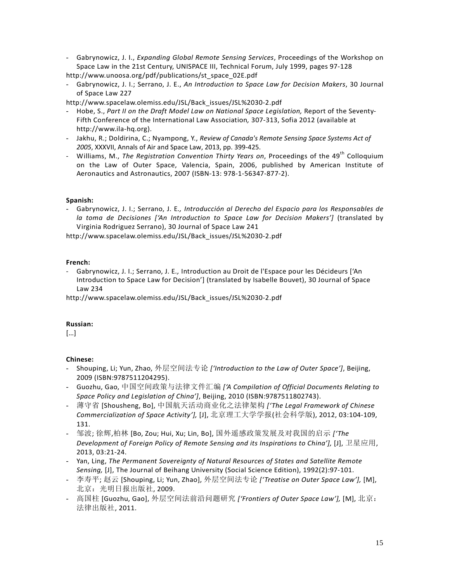- Gabrynowicz, J. I., *Expanding Global Remote Sensing Services*, Proceedings of the Workshop on Space Law in the 21st Century, UNISPACE III, Technical Forum, July 1999, pages 97-128 http://www.unoosa.org/pdf/publications/st\_space\_02E.pdf
- Gabrynowicz, J. I.; Serrano, J. E., *An Introduction to Space Law for Decision Makers*, 30 Journal of Space Law 227

http://www.spacelaw.olemiss.edu/JSL/Back\_issues/JSL%2030-2.pdf

- Hobe, S., *Part II on the Draft Model Law on National Space Legislation,* Report of the Seventy-Fifth Conference of the International Law Association*,* 307-313, Sofia 2012 (available at http://www.ila-hq.org).
- Jakhu, R.; Doldirina, C.; Nyampong, Y., *Review of Canada's Remote Sensing Space Systems Act of 2005*, XXXVII, Annals of Air and Space Law, 2013, pp. 399-425.
- Williams, M., *The Registration Convention Thirty Years on*, Proceedings of the 49<sup>th</sup> Colloquium on the Law of Outer Space, Valencia, Spain, 2006, published by American Institute of Aeronautics and Astronautics, 2007 (ISBN-13: 978-1-56347-877-2).

## **Spanish:**

- Gabrynowicz, J. I.; Serrano, J. E*., Introducción al Derecho del Espacio para los Responsables de la toma de Decisiones ['An Introduction to Space Law for Decision Makers']* (translated by Virginia Rodriguez Serrano), 30 Journal of Space Law 241

http://www.spacelaw.olemiss.edu/JSL/Back\_issues/JSL%2030-2.pdf

## **French:**

- Gabrynowicz, J. I.; Serrano, J. E*.,* Introduction au Droit de l'Espace pour les Décideurs ['An Introduction to Space Law for Decision'] (translated by Isabelle Bouvet), 30 Journal of Space Law 234

http://www.spacelaw.olemiss.edu/JSL/Back\_issues/JSL%2030-2.pdf

#### **Russian:**

[…]

- Shouping, Li; Yun, Zhao, 外层空间法专论 *['Introduction to the Law of Outer Space']*, Beijing, 2009 (ISBN:9787511204295).
- Guozhu, Gao, 中国空间政策与法律文件汇编 *['A Compilation of Official Documents Relating to Space Policy and Legislation of China']*, Beijing, 2010 (ISBN:9787511802743).
- 薄守省 [Shousheng, Bo], 中国航天活动商业化之法律架构 *['The Legal Framework of Chinese Commercialization of Space Activity'],* [J], 北京理工大学学报(社会科学版), 2012, 03:104-109, 131.
- 邹波; 徐辉,柏林 [Bo, Zou; Hui, Xu; Lin, Bo], 国外遥感政策发展及对我国的启示 *['The Development of Foreign Policy of Remote Sensing and its Inspirations to China'],* [J], 卫星应用, 2013, 03:21-24.
- Yan, Ling, *The Permanent Sovereignty of Natural Resources of States and Satellite Remote Sensing,* [J], The Journal of Beihang University (Social Science Edition), 1992(2):97-101.
- 李寿平; 赵云 [Shouping, Li; Yun, Zhao], 外层空间法专论 *['Treatise on Outer Space Law'],* [M], 北京:光明日报出版社, 2009.
- 高国柱 [Guozhu, Gao], 外层空间法前沿问题研究 *['Frontiers of Outer Space Law'],* [M], 北京: 法律出版社, 2011.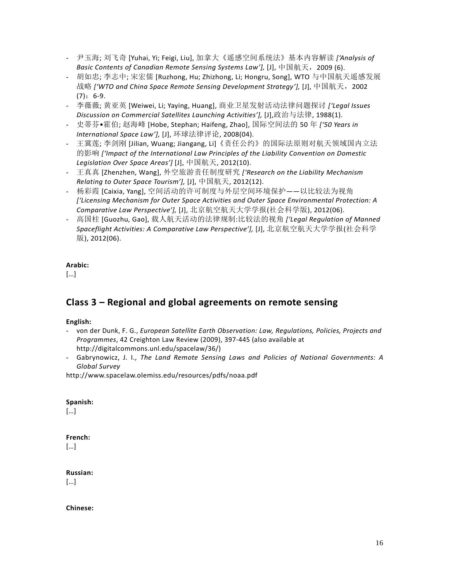- 尹玉海; 刘飞奇 [Yuhai, Yi; Feigi, Liu], 加拿大《遥感空间系统法》基本内容解读 *['Analysis of Basic Contents of Canadian Remote Sensing Systems Law'],* [J], 中国航天,2009 (6).
- 胡如忠; 李志中; 宋宏儒 [Ruzhong, Hu; Zhizhong, Li; Hongru, Song], WTO 与中国航天遥感发展 战略 *['WTO and China Space Remote Sensing Development Strategy'],* [J], 中国航天,2002  $(7): 6-9.$
- 李薇薇; 黄亚英 [Weiwei, Li; Yaying, Huang], 商业卫星发射活动法律问题探讨 *['Legal Issues Discussion on Commercial Satellites Launching Activities'],* [J],政治与法律, 1988(1).
- 史蒂芬•霍伯; 赵海峰 [Hobe, Stephan; Haifeng, Zhao], 国际空间法的 50 年 *['50 Years in International Space Law'],* [J], 环球法律评论, 2008(04).
- 王冀莲; 李剑刚 [Jilian, Wuang; Jiangang, Li]《责任公约》的国际法原则对航天领域国内立法 的影响 *['Impact of the International Law Principles of the Liability Convention on Domestic Legislation Over Space Areas']* [J], 中国航天, 2012(10).
- 王真真 [Zhenzhen, Wang], 外空旅游责任制度研究 *['Research on the Liability Mechanism Relating to Outer Space Tourism'],* [J], 中国航天, 2012(12).
- 杨彩霞 [Caixia, Yang], 空间活动的许可制度与外层空间环境保护——以比较法为视角 *['Licensing Mechanism for Outer Space Activities and Outer Space Environmental Protection: A Comparative Law Perspective'],* [J], 北京航空航天大学学报(社会科学版), 2012(06).
- 高国柱 [Guozhu, Gao], 载人航天活动的法律规制:比较法的视角 *['Legal Regulation of Manned Spaceflight Activities: A Comparative Law Perspective'],* [J], 北京航空航天大学学报(社会科学 版), 2012(06).

[…]

# **Class 3 – Regional and global agreements on remote sensing**

# **English:**

- von der Dunk, F. G., *European Satellite Earth Observation: Law, Regulations, Policies, Projects and Programmes*, 42 Creighton Law Review (2009), 397-445 (also available at http://digitalcommons.unl.edu/spacelaw/36/)
- Gabrynowicz, J. I., *The Land Remote Sensing Laws and Policies of National Governments: A Global Survey*

http://www.spacelaw.olemiss.edu/resources/pdfs/noaa.pdf

# **Spanish:**

[…]

# **French:**

[…]

# **Russian:**

[…]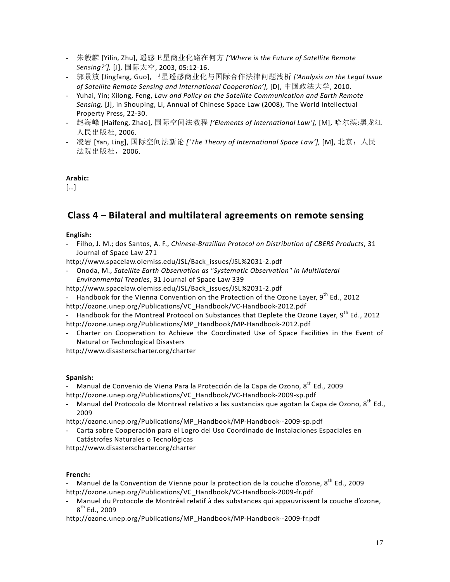- 朱毅麟 [Yilin, Zhu], 遥感卫星商业化路在何方 *['Where is the Future of Satellite Remote Sensing?'],* [J], 国际太空, 2003, 05:12-16.
- 郭景放 [Jingfang, Guo], 卫星遥感商业化与国际合作法律问题浅析 *['Analysis on the Legal Issue of Satellite Remote Sensing and International Cooperation'],* [D], 中国政法大学, 2010.
- Yuhai, Yin; Xilong, Feng, *Law and Policy on the Satellite Communication and Earth Remote Sensing,* [J], in Shouping, Li, Annual of Chinese Space Law (2008), The World Intellectual Property Press, 22-30.
- 赵海峰 [Haifeng, Zhao], 国际空间法教程 *['Elements of International Law'],* [M], 哈尔滨:黑龙江 人民出版社, 2006.
- 凌岩 [Yan, Ling], 国际空间法新论 *['The Theory of International Space Law'],* [M], 北京:人民 法院出版社,2006.

[…]

# **Class 4 – Bilateral and multilateral agreements on remote sensing**

#### **English:**

- Filho, J. M.; dos Santos, A. F., *Chinese-Brazilian Protocol on Distribution of CBERS Products*, 31 Journal of Space Law 271

[http://www.spacelaw.olemiss.edu/JSL/Back\\_issues/JSL%2031-2.pdf](http://www.spacelaw.olemiss.edu/JSL/Back_issues/JSL%2031-2.pdf)

- Onoda, M., *Satellite Earth Observation as "Systematic Observation" in Multilateral Environmental Treaties*, 31 Journal of Space Law 339

http://www.spacelaw.olemiss.edu/JSL/Back\_issues/JSL%2031-2.pdf

- Handbook for the Vienna Convention on the Protection of the Ozone Layer, 9<sup>th</sup> Ed., 2012 http://ozone.unep.org/Publications/VC\_Handbook/VC-Handbook-2012.pdf

- Handbook for the Montreal Protocol on Substances that Deplete the Ozone Layer,  $9^{th}$  Ed., 2012 http://ozone.unep.org/Publications/MP\_Handbook/MP-Handbook-2012.pdf
- Charter on Cooperation to Achieve the Coordinated Use of Space Facilities in the Event of Natural or Technological Disasters

http://www.disasterscharter.org/charter

#### **Spanish:**

- Manual de Convenio de Viena Para la Protección de la Capa de Ozono, 8<sup>th</sup> Ed., 2009 http://ozone.unep.org/Publications/VC\_Handbook/VC-Handbook-2009-sp.pdf

Manual del Protocolo de Montreal relativo a las sustancias que agotan la Capa de Ozono,  $8^{th}$  Ed., 2009

http://ozone.unep.org/Publications/MP\_Handbook/MP-Handbook--2009-sp.pdf

- Carta sobre Cooperación para el Logro del Uso Coordinado de Instalaciones Espaciales en Catástrofes Naturales o Tecnológicas

http://www.disasterscharter.org/charter

#### **French:**

Manuel de la Convention de Vienne pour la protection de la couche d'ozone, 8<sup>th</sup> Ed., 2009 http://ozone.unep.org/Publications/VC\_Handbook/VC-Handbook-2009-fr.pdf

- Manuel du Protocole de Montréal relatif à des substances qui appauvrissent la couche d'ozone,  $8^{th}$  Ed., 2009

http://ozone.unep.org/Publications/MP\_Handbook/MP-Handbook--2009-fr.pdf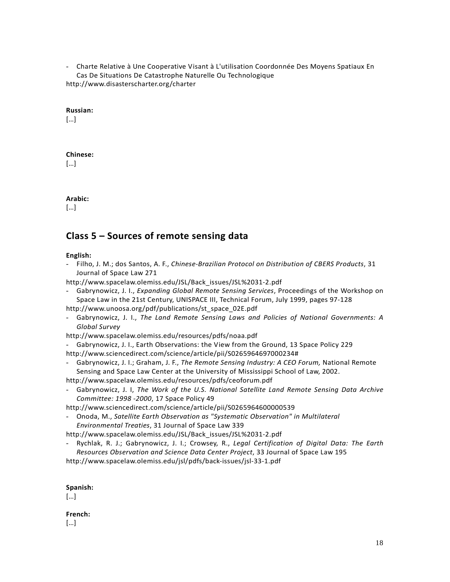- Charte Relative à Une Cooperative Visant à L'utilisation Coordonnée Des Moyens Spatiaux En Cas De Situations De Catastrophe Naturelle Ou Technologique http://www.disasterscharter.org/charter

#### **Russian:**

[…]

#### **Chinese:**

[…]

## **Arabic:**

 $\lceil \dots \rceil$ 

# **Class 5 – Sources of remote sensing data**

#### **English:**

- Filho, J. M.; dos Santos, A. F., *Chinese-Brazilian Protocol on Distribution of CBERS Products*, 31 Journal of Space Law 271

[http://www.spacelaw.olemiss.edu/JSL/Back\\_issues/JSL%2031-2.pdf](http://www.spacelaw.olemiss.edu/JSL/Back_issues/JSL%2031-2.pdf)

- Gabrynowicz, J. I., *Expanding Global Remote Sensing Services*, Proceedings of the Workshop on Space Law in the 21st Century, UNISPACE III, Technical Forum, July 1999, pages 97-128
- http://www.unoosa.org/pdf/publications/st\_space\_02E.pdf
- Gabrynowicz, J. I., *The Land Remote Sensing Laws and Policies of National Governments: A Global Survey*
- http://www.spacelaw.olemiss.edu/resources/pdfs/noaa.pdf
- Gabrynowicz, J. I., Earth Observations: the View from the Ground, 13 Space Policy 229
- http://www.sciencedirect.com/science/article/pii/S0265964697000234#
- Gabrynowicz, J. I.; Graham, J. F., *The Remote Sensing Industry: A CEO Forum,* National Remote Sensing and Space Law Center at the University of Mississippi School of Law, 2002.
- http://www.spacelaw.olemiss.edu/resources/pdfs/ceoforum.pdf
- Gabrynowicz, J. I, *The Work of the U.S. National Satellite Land Remote Sensing Data Archive Committee: 1998 -2000*, 17 Space Policy 49

http://www.sciencedirect.com/science/article/pii/S0265964600000539

- Onoda, M., *Satellite Earth Observation as "Systematic Observation" in Multilateral Environmental Treaties*, 31 Journal of Space Law 339

http://www.spacelaw.olemiss.edu/JSL/Back\_issues/JSL%2031-2.pdf

- Rychlak, R. J.; Gabrynowicz, J. I.; Crowsey, R., *Legal Certification of Digital Data: The Earth Resources Observation and Science Data Center Project*, 33 Journal of Space Law 195

http://www.spacelaw.olemiss.edu/jsl/pdfs/back-issues/jsl-33-1.pdf

#### **Spanish:**

[…]

# **French:**

[…]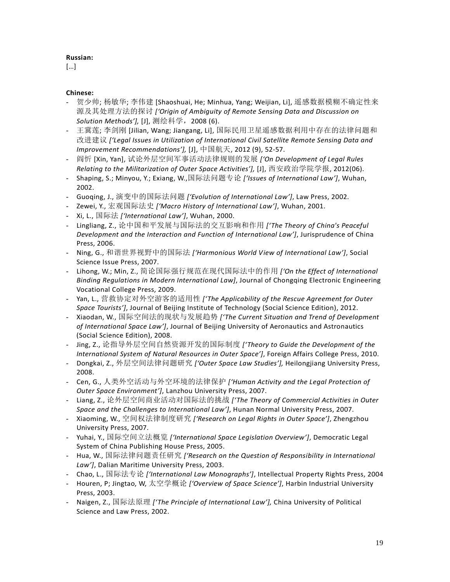## **Russian:**

[…]

- 贺少帅; 杨敏华; 李伟建 [Shaoshuai, He; Minhua, Yang; Weijian, Li], 遥感数据模糊不确定性来 源及其处理方法的探讨 *['Origin of Ambiguity of Remote Sensing Data and Discussion on Solution Methods'],* [J], 测绘科学,2008 (6).
- 王冀莲; 李剑刚 [Jilian, Wang; Jiangang, Li], 国际民用卫星遥感数据利用中存在的法律问题和 改进建议 *['Legal Issues in Utilization of International Civil Satellite Remote Sensing Data and Improvement Recommendations'],* [J], 中国航天, 2012 (9), 52-57.
- 阎忻 [Xin, Yan], 试论外层空间军事活动法律规则的发展 *['On Development of Legal Rules Relating to the Militarization of Outer Space Activities'],* [J], 西安政治学院学报, 2012(06).
- Shaping, S.; Minyou, Y.; Exiang, W.,国际法问题专论 *['Issues of International Law']*, Wuhan, 2002.
- Guoqing, J., 演变中的国际法问题 *['Evolution of International Law']*, Law Press, 2002.
- Zewei, Y., 宏观国际法史 *['Macro History of International Law']*, Wuhan, 2001.
- Xi, L., 国际法 *['International Law']*, Wuhan, 2000.
- Lingliang, Z., 论中国和平发展与国际法的交互影响和作用 *['The Theory of China's Peaceful Development and the Interaction and Function of International Law']*, Jurisprudence of China Press, 2006.
- Ning, G., 和谐世界视野中的国际法 *['Harmonious World View of International Law']*, Social Science Issue Press, 2007.
- Lihong, W.; Min, Z., 简论国际强行规范在现代国际法中的作用 *['On the Effect of International Binding Regulations in Modern International Law]*, Journal of Chongqing Electronic Engineering Vocational College Press, 2009.
- Yan, L., 营救协定对外空游客的适用性 *['The Applicability of the Rescue Agreement for Outer Space Tourists']*, Journal of Beijing Institute of Technology (Social Science Edition), 2012.
- Xiaodan, W., 国际空间法的现状与发展趋势 *['The Current Situation and Trend of Development of International Space Law']*, Journal of Beijing University of Aeronautics and Astronautics (Social Science Edition), 2008.
- Jing, Z., 论指导外层空间自然资源开发的国际制度 *['Theory to Guide the Development of the International System of Natural Resources in Outer Space']*, Foreign Affairs College Press, 2010.
- Dongkai, Z., 外层空间法律问题研究 *['Outer Space Law Studies'],* Heilongjiang University Press, 2008.
- Cen, G., 人类外空活动与外空环境的法律保护 *['Human Activity and the Legal Protection of Outer Space Environment']*, Lanzhou University Press, 2007.
- Liang, Z., 论外层空间商业活动对国际法的挑战 *['The Theory of Commercial Activities in Outer Space and the Challenges to International Law']*, Hunan Normal University Press, 2007.
- Xiaoming, W., 空间权法律制度研究 *['Research on Legal Rights in Outer Space']*, Zhengzhou University Press, 2007.
- Yuhai, Y., 国际空间立法概览 *['International Space Legislation Overview']*, Democratic Legal System of China Publishing House Press, 2005.
- Hua, W., 国际法律问题责任研究 *['Research on the Question of Responsibility in International Law']*, Dalian Maritime University Press, 2003.
- Chao, L., 国际法专论 *['International Law Monographs']*, Intellectual Property Rights Press, 2004
- Houren, P; Jingtao, W, 太空学概论 *['Overview of Space Science']*, Harbin Industrial University Press, 2003.
- Naigen, Z., 国际法原理 *['The Principle of International Law'],* China University of Political Science and Law Press, 2002.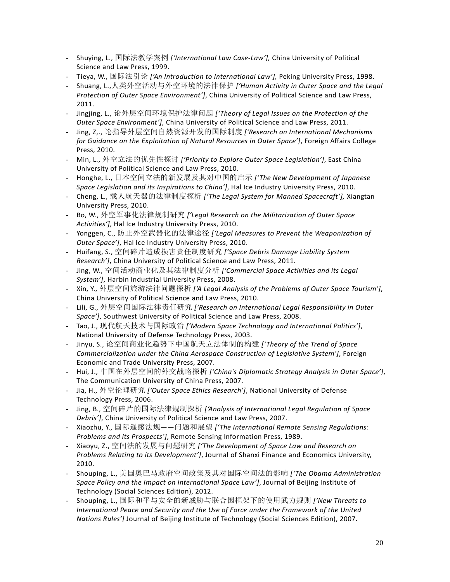- Shuying, L., 国际法教学案例 *['International Law Case-Law'],* China University of Political Science and Law Press, 1999.
- Tieya, W., 国际法引论 *['An Introduction to International Law'],* Peking University Press, 1998.
- Shuang, L.,人类外空活动与外空环境的法律保护 *['Human Activity in Outer Space and the Legal Protection of Outer Space Environment']*, China University of Political Science and Law Press, 2011.
- Jingjing, L., 论外层空间环境保护法律问题 *['Theory of Legal Issues on the Protection of the Outer Space Environment']*, China University of Political Science and Law Press, 2011.
- Jing, Z,., 论指导外层空间自然资源开发的国际制度 *['Research on International Mechanisms for Guidance on the Exploitation of Natural Resources in Outer Space']*, Foreign Affairs College Press, 2010.
- Min, L., 外空立法的优先性探讨 *['Priority to Explore Outer Space Legislation']*, East China University of Political Science and Law Press, 2010.
- Honghe, L., 日本空间立法的新发展及其对中国的启示 *['The New Development of Japanese Space Legislation and its Inspirations to China']*, Hal Ice Industry University Press, 2010.
- Cheng, L., 载人航天器的法律制度探析 *['The Legal System for Manned Spacecraft'],* Xiangtan University Press, 2010.
- Bo, W., 外空军事化法律规制研究 *['Legal Research on the Militarization of Outer Space Activities']*, Hal Ice Industry University Press, 2010.
- Yonggen, C., 防止外空武器化的法律途径 *['Legal Measures to Prevent the Weaponization of Outer Space']*, Hal Ice Industry University Press, 2010.
- Huifang, S., 空间碎片造成损害责任制度研究 *['Space Debris Damage Liability System Research']*, China University of Political Science and Law Press, 2011.
- Jing, W., 空间活动商业化及其法律制度分析 *['Commercial Space Activities and its Legal System']*, Harbin Industrial University Press, 2008.
- Xin, Y., 外层空间旅游法律问题探析 *['A Legal Analysis of the Problems of Outer Space Tourism']*, China University of Political Science and Law Press, 2010.
- Lili, G., 外层空间国际法律责任研究 *['Research on International Legal Responsibility in Outer Space']*, Southwest University of Political Science and Law Press, 2008.
- Tao, J., 现代航天技术与国际政治 *['Modern Space Technology and International Politics']*, National University of Defense Technology Press, 2003.
- Jinyu, S., 论空间商业化趋势下中国航天立法体制的构建 *['Theory of the Trend of Space Commercialization under the China Aerospace Construction of Legislative System']*, Foreign Economic and Trade University Press, 2007.
- Hui, J., 中国在外层空间的外交战略探析 *['China's Diplomatic Strategy Analysis in Outer Space']*, The Communication University of China Press, 2007.
- Jia, H., 外空伦理研究 *['Outer Space Ethics Research']*, National University of Defense Technology Press, 2006.
- Jing, B., 空间碎片的国际法律规制探析 *['Analysis of International Legal Regulation of Space Debris']*, China University of Political Science and Law Press, 2007.
- Xiaozhu, Y., 国际遥感法规——问题和展望 *['The International Remote Sensing Regulations: Problems and its Prospects']*, Remote Sensing Information Press, 1989.
- Xiaoyu, Z., 空间法的发展与问题研究 *['The Development of Space Law and Research on Problems Relating to its Development']*, Journal of Shanxi Finance and Economics University, 2010.
- Shouping, L., 美国奥巴马政府空间政策及其对国际空间法的影响 *['The Obama Administration Space Policy and the Impact on International Space Law']*, Journal of Beijing Institute of Technology (Social Sciences Edition), 2012.
- Shouping, L., 国际和平与安全的新威胁与联合国框架下的使用武力规则 *['New Threats to International Peace and Security and the Use of Force under the Framework of the United Nations Rules']* Journal of Beijing Institute of Technology (Social Sciences Edition), 2007.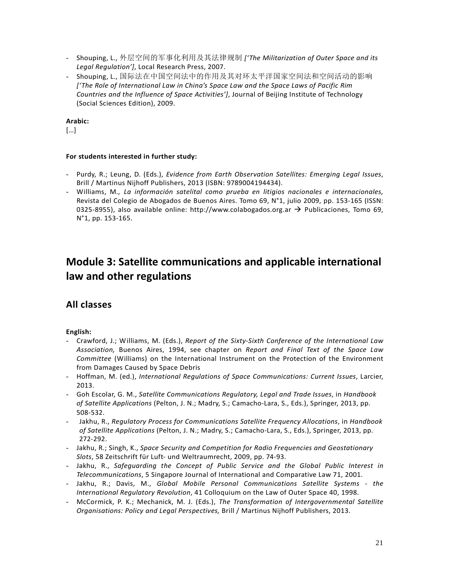- Shouping, L., 外层空间的军事化利用及其法律规制 *['The Militarization of Outer Space and its Legal Regulation']*, Local Research Press, 2007.
- Shouping, L., 国际法在中国空间法中的作用及其对环太平洋国家空间法和空间活动的影响 *['The Role of International Law in China's Space Law and the Space Laws of Pacific Rim Countries and the Influence of Space Activities']*, Journal of Beijing Institute of Technology (Social Sciences Edition), 2009.

[…]

## **For students interested in further study:**

- Purdy, R.; Leung, D. (Eds.), *Evidence from Earth Observation Satellites: Emerging Legal Issues*, Brill / Martinus Nijhoff Publishers, 2013 (ISBN: 9789004194434).
- Williams, M*., La información satelital como prueba en litigios nacionales e internacionales,*  Revista del Colegio de Abogados de Buenos Aires. Tomo 69, N°1, julio 2009, pp. 153-165 (ISSN: 0325-8955), also available online: http://www.colabogados.org.ar  $\rightarrow$  Publicaciones, Tomo 69, N°1, pp. 153-165.

# **Module 3: Satellite communications and applicable international law and other regulations**

# **All classes**

# **English:**

- Crawford, J.; Williams, M. (Eds.), *Report of the Sixty-Sixth Conference of the International Law Association,* Buenos Aires, 1994, see chapter on *Report and Final Text of the Space Law Committee* (Williams) on the International Instrument on the Protection of the Environment from Damages Caused by Space Debris
- Hoffman, M. (ed.), *International Regulations of Space Communications: Current Issues*, Larcier, 2013.
- Goh Escolar, G. M., *Satellite Communications Regulatory, Legal and Trade Issues*, in *Handbook of Satellite Applications* (Pelton, J. N.; Madry, S.; Camacho-Lara, S., Eds.), Springer, 2013, pp. 508-532.
- Jakhu, R., *Regulatory Process for Communications Satellite Frequency Allocations*, in *Handbook of Satellite Applications* (Pelton, J. N.; Madry, S.; Camacho-Lara, S., Eds.), Springer, 2013, pp. 272-292.
- Jakhu, R.; Singh, K., *Space Security and Competition for Radio Frequencies and Geostationary Slots*, 58 Zeitschrift für Luft- und Weltraumrecht, 2009, pp. 74-93.
- Jakhu, R., *Safeguarding the Concept of Public Service and the Global Public Interest in Telecommunications*, 5 Singapore Journal of International and Comparative Law 71, 2001.
- Jakhu, R.; Davis, M., *Global Mobile Personal Communications Satellite Systems - the International Regulatory Revolution*, 41 Colloquium on the Law of Outer Space 40, 1998.
- McCormick, P. K.; Mechanick, M. J. (Eds.), *The Transformation of Intergovernmental Satellite Organisations: Policy and Legal Perspectives,* Brill / Martinus Nijhoff Publishers, 2013.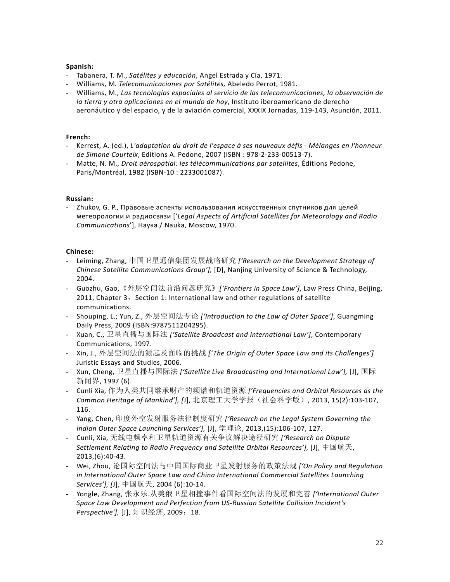#### **Spanish:**

- Tabanera, T. M., *Satélites y educación*, Angel Estrada y Cía, 1971.
- Williams, M*. Telecomunicaciones por Satélites,* Abeledo Perrot, 1981*.*
- Williams, M., *Las tecnologías espaciales al servicio de las telecomunicaciones, la observación de la tierra y otra aplicaciones en el mundo de hoy*, Instituto iberoamericano de derecho aeronáutico y del espacio, y de la aviación comercial, XXXIX Jornadas, 119-143, Asunción, 2011.

#### **French:**

- Kerrest, A. (ed.), *L'adaptation du droit de l'espace à ses nouveaux défis - Mélanges en l'honneur de Simone Courteix*, Editions A. Pedone, 2007 (ISBN : 978-2-233-00513-7).
- Matte, N. M., *Droit aérospatial: les télécommunications par satellites*, Éditions Pedone, Paris/Montréal, 1982 (ISBN-10 : 2233001087).

## **Russian:**

- Zhukov, G. P., Правовые аспекты использования искусственных спутников для целей метеорологии и радиосвязи ['*Legal Aspects of Artificial Satellites for Meteorology and Radio Communications*'], Наука / Nauka, Moscow, 1970.

- Leiming, Zhang, 中国卫星通信集团发展战略研究 *['Research on the Development Strategy of Chinese Satellite Communications Group'],* [D], Nanjing University of Science & Technology, 2004.
- Guozhu, Gao,《外层空间法前沿问题研究》*['Frontiers in Space Law']*, Law Press China, Beijing, 2011, Chapter 3, Section 1: International law and other regulations of satellite communications.
- Shouping, L.; Yun, Z., 外层空间法专论 *['Introduction to the Law of Outer Space']*, Guangming Daily Press, 2009 (ISBN:9787511204295).
- Xuan, C., 卫星直播与国际法 *['Satellite Broadcast and International Law']*, Contemporary Communications, 1997.
- Xin, J., 外层空间法的源起及面临的挑战 *['The Origin of Outer Space Law and its Challenges']*  Juristic Essays and Studies, 2006.
- Xun, Cheng, 卫星直播与国际法 *['Satellite Live Broadcasting and International Law'],* [J], 国际 新闻界, 1997 (6).
- Cunli Xia, 作为人类共同继承财产的频谱和轨道资源 *['Frequencies and Orbital Resources as the Common Heritage of Mankind'], [*J], 北京理工大学学报(社会科学版), 2013, 15(2):103-107, 116.
- Yang, Chen, 印度外空发射服务法律制度研究 *['Research on the Legal System Governing the Indian Outer Space Launching Services'],* [J], 学理论, 2013,(15):106-107, 127.
- Cunli, Xia, 无线电频率和卫星轨道资源有关争议解决途径研究 *['Research on Dispute Settlement Relating to Radio Frequency and Satellite Orbital Resources'],* [J], 中国航天, 2013,(6):40-43.
- Wei, Zhou, 论国际空间法与中国国际商业卫星发射服务的政策法规 *['On Policy and Regulation in International Outer Space Law and China International Commercial Satellites Launching Services'], [*J], 中国航天, 2004 (6):10-14.
- Yongle, Zhang, 张永乐.从美俄卫星相撞事件看国际空间法的发展和完善 *['International Outer Space Law Development and Perfection from US-Russian Satellite Collision Incident's Perspective'],* [J], 知识经济, 2009: 18.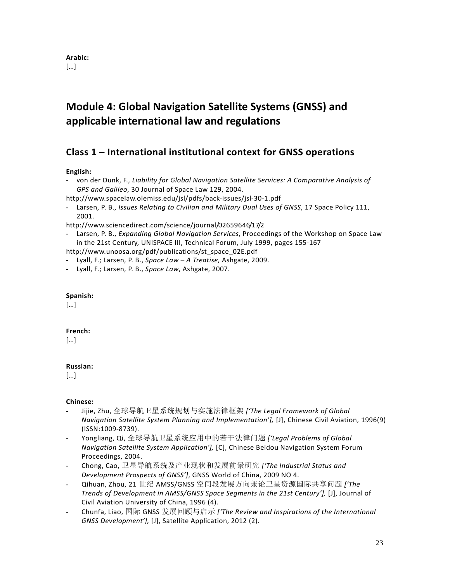# **Module 4: Global Navigation Satellite Systems (GNSS) and applicable international law and regulations**

# **Class 1 – International institutional context for GNSS operations**

# **English:**

- von der Dunk, F., *Liability for Global Navigation Satellite Services: A Comparative Analysis of GPS and Galileo*, 30 Journal of Space Law 129, 2004.

http://www.spacelaw.olemiss.edu/jsl/pdfs/back-issues/jsl-30-1.pdf

- Larsen, P. B., *Issues Relating to Civilian and Military Dual Uses of GNSS*, 17 Space Policy 111, 2001.

http://www.sciencedirect.com/science/journal/02659646/17/2

- Larsen, P. B., *Expanding Global Navigation Services*, Proceedings of the Workshop on Space Law in the 21st Century, UNISPACE III, Technical Forum, July 1999, pages 155-167

http://www.unoosa.org/pdf/publications/st\_space\_02E.pdf

- Lyall, F.; Larsen, P. B., *Space Law – A Treatise,* Ashgate, 2009.
- Lyall, F.; Larsen, P. B., *Space Law*, Ashgate, 2007.

#### **Spanish:**

[…]

# **French:**

[…]

# **Russian:**

[…]

- Jijie, Zhu, 全球导航卫星系统规划与实施法律框架 *['The Legal Framework of Global Navigation Satellite System Planning and Implementation'],* [J], Chinese Civil Aviation, 1996(9) (ISSN:1009-8739).
- Yongliang, Qi, 全球导航卫星系统应用中的若干法律问题 *['Legal Problems of Global Navigation Satellite System Application'],* [C], Chinese Beidou Navigation System Forum Proceedings, 2004.
- Chong, Cao, 卫星导航系统及产业现状和发展前景研究 *['The Industrial Status and Development Prospects of GNSS']*, GNSS World of China, 2009 NO 4.
- Qihuan, Zhou, 21 世纪 AMSS/GNSS 空间段发展方向兼论卫星资源国际共享问题 *['The Trends of Development in AMSS/GNSS Space Segments in the 21st Century'],* [J], Journal of Civil Aviation University of China, 1996 (4).
- Chunfa, Liao, 国际 GNSS 发展回顾与启示 *['The Review and Inspirations of the International GNSS Development'],* [J], Satellite Application, 2012 (2).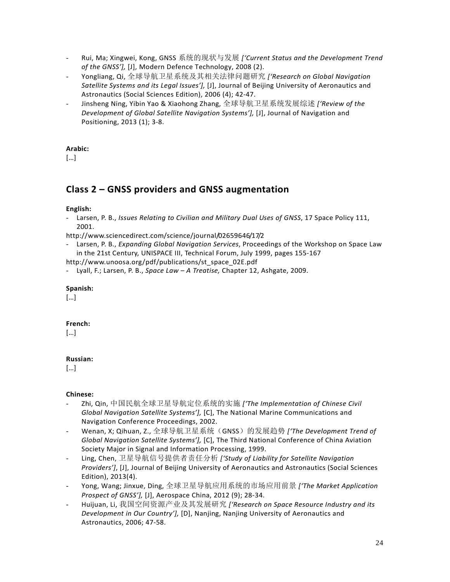- Rui, Ma; Xingwei, Kong, GNSS 系统的现状与发展 *['Current Status and the Development Trend of the GNSS'],* [J], Modern Defence Technology, 2008 (2).
- Yongliang, Qi, 全球导航卫星系统及其相关法律问题研究 *['Research on Global Navigation Satellite Systems and its Legal Issues'],* [J], Journal of Beijing University of Aeronautics and Astronautics (Social Sciences Edition), 2006 (4); 42-47.
- Jinsheng Ning, Yibin Yao & Xiaohong Zhang, 全球导航卫星系统发展综述 *['Review of the Development of Global Satellite Navigation Systems'],* [J], Journal of Navigation and Positioning, 2013 (1); 3-8.

[…]

# **Class 2 – GNSS providers and GNSS augmentation**

## **English:**

- Larsen, P. B., *Issues Relating to Civilian and Military Dual Uses of GNSS*, 17 Space Policy 111, 2001.

http://www.sciencedirect.com/science/journal/02659646/17/2

- Larsen, P. B., *Expanding Global Navigation Services*, Proceedings of the Workshop on Space Law in the 21st Century, UNISPACE III, Technical Forum, July 1999, pages 155-167

http://www.unoosa.org/pdf/publications/st\_space\_02E.pdf

- Lyall, F.; Larsen, P. B., *Space Law – A Treatise,* Chapter 12, Ashgate, 2009.

## **Spanish:**

[…]

# **French:**

[…]

# **Russian:**

[…]

- Zhi, Qin, 中国民航全球卫星导航定位系统的实施 *['The Implementation of Chinese Civil Global Navigation Satellite Systems'],* [C], The National Marine Communications and Navigation Conference Proceedings, 2002.
- Wenan, X; Qihuan, Z., 全球导航卫星系统(GNSS)的发展趋势 *['The Development Trend of Global Navigation Satellite Systems'],* [C], The Third National Conference of China Aviation Society Major in Signal and Information Processing, 1999.
- Ling, Chen, 卫星导航信号提供者责任分析 *['Study of Liability for Satellite Navigation Providers']*, [J], Journal of Beijing University of Aeronautics and Astronautics (Social Sciences Edition), 2013(4).
- Yong, Wang; Jinxue, Ding, 全球卫星导航应用系统的市场应用前景 *['The Market Application Prospect of GNSS'],* [J], Aerospace China, 2012 (9); 28-34.
- Huijuan, Li, 我国空间资源产业及其发展研究 *['Research on Space Resource Industry and its Development in Our Country'],* [D], Nanjing, Nanjing University of Aeronautics and Astronautics, 2006; 47-58.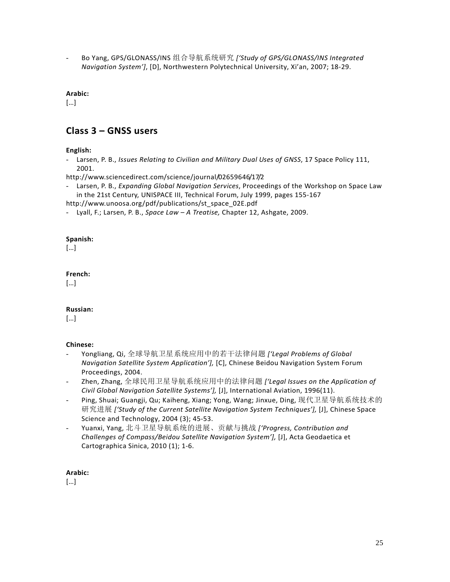- Bo Yang, GPS/GLONASS/INS 组合导航系统研究 *['Study of GPS/GLONASS/INS Integrated Navigation System']*, [D], Northwestern Polytechnical University, Xi'an, 2007; 18-29.

**Arabic:**

[…]

# **Class 3 – GNSS users**

**English:**

- Larsen, P. B., *Issues Relating to Civilian and Military Dual Uses of GNSS*, 17 Space Policy 111, 2001.

http://www.sciencedirect.com/science/journal/02659646/17/2

- Larsen, P. B., *Expanding Global Navigation Services*, Proceedings of the Workshop on Space Law in the 21st Century, UNISPACE III, Technical Forum, July 1999, pages 155-167

http://www.unoosa.org/pdf/publications/st\_space\_02E.pdf

- Lyall, F.; Larsen, P. B., *Space Law – A Treatise,* Chapter 12, Ashgate, 2009.

## **Spanish:**

[…]

## **French:**

[…]

# **Russian:**

[…]

# **Chinese:**

- Yongliang, Qi, 全球导航卫星系统应用中的若干法律问题 *['Legal Problems of Global Navigation Satellite System Application'],* [C], Chinese Beidou Navigation System Forum Proceedings, 2004.
- Zhen, Zhang, 全球民用卫星导航系统应用中的法律问题 *['Legal Issues on the Application of Civil Global Navigation Satellite Systems'],* [J], International Aviation, 1996(11).
- Ping, Shuai; Guangji, Qu; Kaiheng, Xiang; Yong, Wang; Jinxue, Ding, 现代卫星导航系统技术的 研究进展 *['Study of the Current Satellite Navigation System Techniques'],* [J], Chinese Space Science and Technology, 2004 (3); 45-53.
- Yuanxi, Yang, 北斗卫星导航系统的进展、贡献与挑战 *['Progress, Contribution and Challenges of Compass/Beidou Satellite Navigation System'],* [J], Acta Geodaetica et Cartographica Sinica, 2010 (1); 1-6.

# **Arabic:**

[…]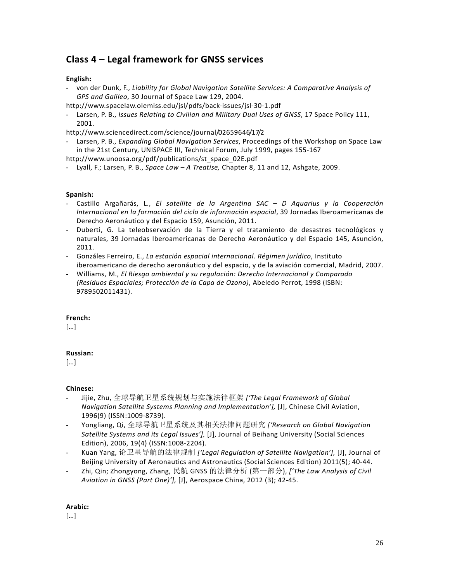# **Class 4 – Legal framework for GNSS services**

# **English:**

- von der Dunk, F., *Liability for Global Navigation Satellite Services: A Comparative Analysis of GPS and Galileo*, 30 Journal of Space Law 129, 2004.
- http://www.spacelaw.olemiss.edu/jsl/pdfs/back-issues/jsl-30-1.pdf
- Larsen, P. B., *Issues Relating to Civilian and Military Dual Uses of GNSS*, 17 Space Policy 111, 2001.

http://www.sciencedirect.com/science/journal/02659646/17/2

- Larsen, P. B., *Expanding Global Navigation Services*, Proceedings of the Workshop on Space Law in the 21st Century, UNISPACE III, Technical Forum, July 1999, pages 155-167

http://www.unoosa.org/pdf/publications/st\_space\_02E.pdf

- Lyall, F.; Larsen, P. B., *Space Law – A Treatise,* Chapter 8, 11 and 12, Ashgate, 2009.

## **Spanish:**

- Castillo Argañarás, L., *El satellite de la Argentina SAC – D Aquarius y la Cooperación Internacional en la formación del ciclo de información espacial*, 39 Jornadas Iberoamericanas de Derecho Aeronáutico y del Espacio 159, Asunción, 2011.
- Duberti, G. La teleobservación de la Tierra y el tratamiento de desastres tecnológicos y naturales, 39 Jornadas Iberoamericanas de Derecho Aeronáutico y del Espacio 145, Asunción, 2011.
- Gonzáles Ferreiro, E., *La estación espacial internacional. Régimen jurídico*, Instituto iberoamericano de derecho aeronáutico y del espacio, y de la aviación comercial, Madrid, 2007.
- Williams, M., *El Riesgo ambiental y su regulación: Derecho Internacional y Comparado (Residuos Espaciales; Protección de la Capa de Ozono)*, Abeledo Perrot, 1998 (ISBN: 9789502011431).

# **French:**

[…]

# **Russian:**

[…]

# **Chinese:**

- Jijie, Zhu, 全球导航卫星系统规划与实施法律框架 *['The Legal Framework of Global Navigation Satellite Systems Planning and Implementation'],* [J], Chinese Civil Aviation, 1996(9) (ISSN:1009-8739).
- Yongliang, Qi, 全球导航卫星系统及其相关法律问题研究 *['Research on Global Navigation Satellite Systems and its Legal Issues'],* [J], Journal of Beihang University (Social Sciences Edition), 2006, 19(4) (ISSN:1008-2204).
- Kuan Yang, 论卫星导航的法律规制 *['Legal Regulation of Satellite Navigation'],* [J], [Journal of](http://law1.cnki.net/law/navi/Issue.aspx?dbcode=CLKJ&dbPrefix=CLKJ&pykm=BHDS)  [Beijing University of Aeronautics and Astronautics \(Social Sciences Edition\)](http://law1.cnki.net/law/navi/Issue.aspx?dbcode=CLKJ&dbPrefix=CLKJ&pykm=BHDS) 2011(5); 40-44.
- Zhi, Qin; Zhongyong, Zhang, 民航 GNSS 的法律分析 (第一部分), *['The Law Analysis of Civil Aviation in GNSS (Part One)'],* [J], Aerospace China, 2012 (3); 42-45.

#### **Arabic:**

[…]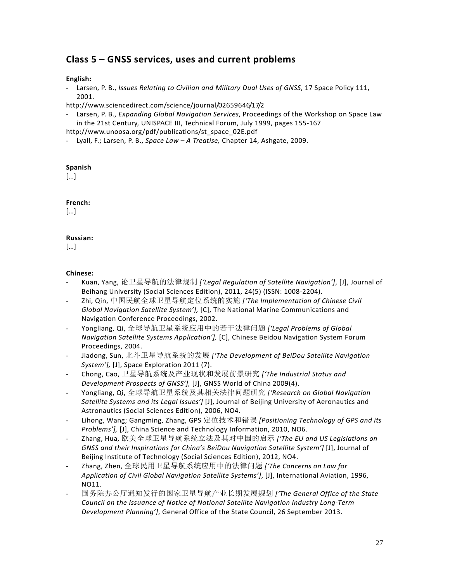# **Class 5 – GNSS services, uses and current problems**

## **English:**

- Larsen, P. B., *Issues Relating to Civilian and Military Dual Uses of GNSS*, 17 Space Policy 111, 2001.

http://www.sciencedirect.com/science/journal/02659646/17/2

- Larsen, P. B., *Expanding Global Navigation Services*, Proceedings of the Workshop on Space Law in the 21st Century, UNISPACE III, Technical Forum, July 1999, pages 155-167

http://www.unoosa.org/pdf/publications/st\_space\_02E.pdf

- Lyall, F.; Larsen, P. B., *Space Law – A Treatise,* Chapter 14, Ashgate, 2009.

## **Spanish**

[…]

# **French:**

 $\lceil \dots \rceil$ 

# **Russian:**

[…]

- Kuan, Yang, 论卫星导航的法律规制 *['Legal Regulation of Satellite Navigation']*, [J], Journal of Beihang University (Social Sciences Edition), 2011, 24(5) (ISSN: 1008-2204).
- Zhi, Qin, 中国民航全球卫星导航定位系统的实施 *['The Implementation of Chinese Civil Global Navigation Satellite System'],* [C], The National Marine Communications and Navigation Conference Proceedings, 2002.
- Yongliang, Qi, 全球导航卫星系统应用中的若干法律问题 *['Legal Problems of Global Navigation Satellite Systems Application'],* [C], Chinese Beidou Navigation System Forum Proceedings, 2004.
- Jiadong, Sun, 北斗卫星导航系统的发展 *['The Development of BeiDou Satellite Navigation System'],* [J], Space Exploration 2011 (7).
- Chong, Cao, 卫星导航系统及产业现状和发展前景研究 *['The Industrial Status and Development Prospects of GNSS'],* [J], GNSS World of China 2009(4).
- Yongliang, Qi, 全球导航卫星系统及其相关法律问题研究 *['Research on Global Navigation Satellite Systems and its Legal Issues']* [J], [Journal of Beijing University of Aeronautics and](http://law1.cnki.net/law/navi/Issue.aspx?dbcode=CLKJ&dbPrefix=CLKJ&pykm=BHDS)  [Astronautics \(Social Sciences Edition\),](http://law1.cnki.net/law/navi/Issue.aspx?dbcode=CLKJ&dbPrefix=CLKJ&pykm=BHDS) 2006, NO4.
- Lihong, Wang; Gangming, Zhang, GPS 定位技术和错误 *[Positioning Technology of GPS and its Problems'],* [J], China Science and Technology Information, 2010, NO6.
- Zhang, Hua, [欧美全球卫星导航系统立法及其对中国的启示](http://epub.cnki.net/grid2008/brief/detailj.aspx?&dbCode=&index=&QueryID=95&CurRec=1) *['The EU and US Legislations on GNSS and their Inspirations for China's BeiDou Navigation Satellite System']* [J], [Journal of](http://law1.cnki.net/law/navi/Issue.aspx?dbcode=CLKJ&dbPrefix=CLKJ&pykm=BLDS)  [Beijing Institute of Technology \(Social Sciences Edition\),](http://law1.cnki.net/law/navi/Issue.aspx?dbcode=CLKJ&dbPrefix=CLKJ&pykm=BLDS) 2012, NO4.
- Zhang, Zhen, 全球民用卫星导航系统应用中的法律问题 *['The Concerns on Law for Application of Civil Global Navigation Satellite Systems']*, [J], International Aviation, 1996, NO11.
- 国务院办公厅通知发行的国家卫星导航产业长期发展规划 *['The General Office of the State Council on the Issuance of Notice of National Satellite Navigation Industry Long-Term Development Planning']*, General Office of the State Council, 26 September 2013.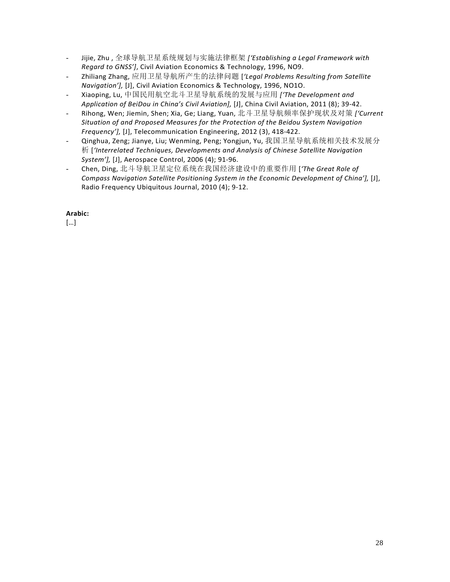- Jijie, Zhu , 全球导航卫星系统规划与实施法律框架 *['Establishing a Legal Framework with Regard to GNSS']*, [Civil Aviation Economics & Technology,](http://law1.cnki.net/law/navi/Issue.aspx?dbcode=CLKJ&dbPrefix=CLKJ&pykm=MHJJ) 1996, NO9.
- Zhiliang Zhang, 应用卫星导航所产生的法律问题 [*'Legal Problems Resulting from Satellite Navigation'],* [J], [Civil Aviation Economics & Technology,](http://law1.cnki.net/law/navi/Issue.aspx?dbcode=CLKJ&dbPrefix=CLKJ&pykm=MHJJ) 1996, NO1O.
- Xiaoping, Lu, 中国民用航空北斗卫星导航系统的发展与应用 *['The Development and Application of BeiDou in China's Civil Aviation],* [J], China Civil Aviation, 2011 (8); 39-42.
- Rihong, Wen; Jiemin, Shen; Xia, Ge; Liang, Yuan, 北斗卫星导航频率保护现状及对策 *['Current Situation of and Proposed Measures for the Protection of the Beidou System Navigation Frequency'],* [J], Telecommunication Engineering, 2012 (3), 418-422.
- Qinghua, Zeng; Jianye, Liu; Wenming, Peng; Yongjun, Yu, 我国卫星导航系统相关技术发展分 析 [*'Interrelated Techniques, Developments and Analysis of Chinese Satellite Navigation System'],* [J], Aerospace Control, 2006 (4); 91-96.
- Chen, Ding, 北斗导航卫星定位系统在我国经济建设中的重要作用 [*'The Great Role of Compass Navigation Satellite Positioning System in the Economic Development of China'],* [J], Radio Frequency Ubiquitous Journal, 2010 (4); 9-12.

[…]